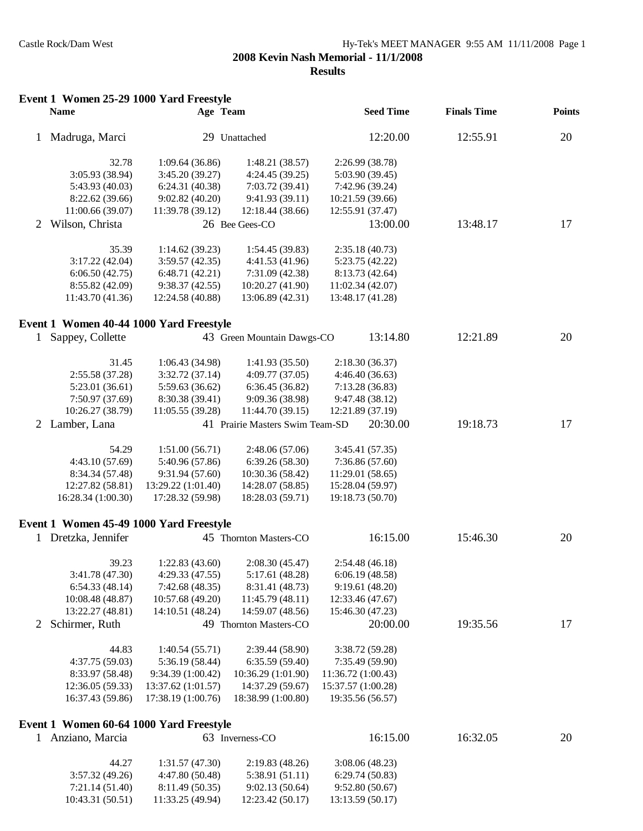|              | Event 1 Women 25-29 1000 Yard Freestyle<br><b>Name</b>      | Age Team           |                                 |                    | <b>Seed Time</b> | <b>Finals Time</b> | <b>Points</b> |
|--------------|-------------------------------------------------------------|--------------------|---------------------------------|--------------------|------------------|--------------------|---------------|
| 1            | Madruga, Marci                                              |                    | 29 Unattached                   |                    | 12:20.00         | 12:55.91           | 20            |
|              | 32.78                                                       | 1:09.64(36.86)     |                                 |                    | 2:26.99 (38.78)  |                    |               |
|              | 3:05.93 (38.94)                                             | 3:45.20 (39.27)    | 1:48.21(38.57)                  |                    | 5:03.90 (39.45)  |                    |               |
|              |                                                             |                    | 4:24.45 (39.25)                 |                    |                  |                    |               |
|              | 5:43.93 (40.03)                                             | 6:24.31 (40.38)    | 7:03.72(39.41)                  |                    | 7:42.96 (39.24)  |                    |               |
|              | 8:22.62 (39.66)                                             | 9:02.82(40.20)     | 9:41.93 (39.11)                 | 10:21.59 (39.66)   |                  |                    |               |
|              | 11:00.66 (39.07)                                            | 11:39.78 (39.12)   | 12:18.44 (38.66)                | 12:55.91 (37.47)   |                  |                    |               |
| 2            | Wilson, Christa                                             |                    | 26 Bee Gees-CO                  |                    | 13:00.00         | 13:48.17           | 17            |
|              | 35.39                                                       | 1:14.62(39.23)     | 1:54.45(39.83)                  |                    | 2:35.18(40.73)   |                    |               |
|              | 3:17.22(42.04)                                              | 3:59.57(42.35)     | 4:41.53 (41.96)                 |                    | 5:23.75 (42.22)  |                    |               |
|              | 6:06.50(42.75)                                              | 6:48.71(42.21)     | 7:31.09(42.38)                  |                    | 8:13.73 (42.64)  |                    |               |
|              | 8:55.82 (42.09)                                             | 9:38.37(42.55)     | 10:20.27 (41.90)                | 11:02.34 (42.07)   |                  |                    |               |
|              | 11:43.70 (41.36)                                            | 12:24.58 (40.88)   | 13:06.89 (42.31)                | 13:48.17 (41.28)   |                  |                    |               |
|              |                                                             |                    |                                 |                    |                  |                    |               |
| $\mathbf{1}$ | Event 1 Women 40-44 1000 Yard Freestyle<br>Sappey, Collette |                    | 43 Green Mountain Dawgs-CO      |                    | 13:14.80         | 12:21.89           | 20            |
|              |                                                             |                    |                                 |                    |                  |                    |               |
|              | 31.45                                                       | 1:06.43 (34.98)    | 1:41.93(35.50)                  |                    | 2:18.30(36.37)   |                    |               |
|              | 2:55.58 (37.28)                                             | 3:32.72(37.14)     | 4:09.77(37.05)                  |                    | 4:46.40(36.63)   |                    |               |
|              | 5:23.01(36.61)                                              | 5:59.63 (36.62)    | 6:36.45(36.82)                  |                    | 7:13.28(36.83)   |                    |               |
|              | 7:50.97 (37.69)                                             | 8:30.38 (39.41)    | 9:09.36 (38.98)                 |                    | 9:47.48 (38.12)  |                    |               |
|              | 10:26.27 (38.79)                                            | 11:05.55 (39.28)   | 11:44.70 (39.15)                | 12:21.89 (37.19)   |                  |                    |               |
|              | 2 Lamber, Lana                                              |                    | 41 Prairie Masters Swim Team-SD |                    | 20:30.00         | 19:18.73           | 17            |
|              | 54.29                                                       | 1:51.00(56.71)     | 2:48.06(57.06)                  |                    | 3:45.41 (57.35)  |                    |               |
|              | 4:43.10(57.69)                                              | 5:40.96 (57.86)    | 6:39.26(58.30)                  |                    | 7:36.86(57.60)   |                    |               |
|              | 8:34.34 (57.48)                                             | 9:31.94 (57.60)    | 10:30.36 (58.42)                | 11:29.01 (58.65)   |                  |                    |               |
|              | 12:27.82 (58.81)                                            | 13:29.22 (1:01.40) | 14:28.07 (58.85)                | 15:28.04 (59.97)   |                  |                    |               |
|              | 16:28.34 (1:00.30)                                          | 17:28.32 (59.98)   | 18:28.03 (59.71)                | 19:18.73 (50.70)   |                  |                    |               |
|              | Event 1 Women 45-49 1000 Yard Freestyle                     |                    |                                 |                    |                  |                    |               |
|              | 1 Dretzka, Jennifer                                         |                    | 45 Thornton Masters-CO          |                    | 16:15.00         | 15:46.30           | 20            |
|              |                                                             |                    |                                 |                    |                  |                    |               |
|              | 39.23                                                       | 1:22.83(43.60)     | 2:08.30(45.47)                  |                    | 2:54.48(46.18)   |                    |               |
|              | 3:41.78 (47.30)                                             | 4:29.33(47.55)     | 5:17.61(48.28)                  |                    | 6:06.19(48.58)   |                    |               |
|              | 6:54.33(48.14)                                              | 7:42.68(48.35)     | 8:31.41 (48.73)                 |                    | 9:19.61 (48.20)  |                    |               |
|              | 10:08.48 (48.87)                                            | 10:57.68 (49.20)   | 11:45.79(48.11)                 | 12:33.46 (47.67)   |                  |                    |               |
|              | 13:22.27 (48.81)                                            | 14:10.51 (48.24)   | 14:59.07 (48.56)                | 15:46.30 (47.23)   |                  |                    |               |
| 2            | Schirmer, Ruth                                              |                    | 49 Thornton Masters-CO          |                    | 20:00.00         | 19:35.56           | 17            |
|              | 44.83                                                       | 1:40.54(55.71)     | 2:39.44(58.90)                  |                    | 3:38.72 (59.28)  |                    |               |
|              | 4:37.75(59.03)                                              | 5:36.19 (58.44)    | 6:35.59(59.40)                  |                    | 7:35.49 (59.90)  |                    |               |
|              | 8:33.97 (58.48)                                             | 9:34.39 (1:00.42)  | 10:36.29 (1:01.90)              | 11:36.72 (1:00.43) |                  |                    |               |
|              | 12:36.05 (59.33)                                            | 13:37.62 (1:01.57) | 14:37.29 (59.67)                | 15:37.57 (1:00.28) |                  |                    |               |
|              | 16:37.43 (59.86)                                            | 17:38.19 (1:00.76) | 18:38.99 (1:00.80)              | 19:35.56 (56.57)   |                  |                    |               |
|              | Event 1 Women 60-64 1000 Yard Freestyle                     |                    |                                 |                    |                  |                    |               |
|              | 1 Anziano, Marcia                                           |                    | 63 Inverness-CO                 |                    | 16:15.00         | 16:32.05           | 20            |
|              | 44.27                                                       | 1:31.57(47.30)     | 2:19.83(48.26)                  |                    | 3:08.06(48.23)   |                    |               |
|              | 3:57.32(49.26)                                              | 4:47.80 (50.48)    | 5:38.91 (51.11)                 |                    | 6:29.74(50.83)   |                    |               |
|              | 7:21.14 (51.40)                                             | 8:11.49 (50.35)    | 9:02.13(50.64)                  |                    | 9:52.80(50.67)   |                    |               |
|              | 10:43.31 (50.51)                                            | 11:33.25 (49.94)   | 12:23.42 (50.17)                | 13:13.59 (50.17)   |                  |                    |               |
|              |                                                             |                    |                                 |                    |                  |                    |               |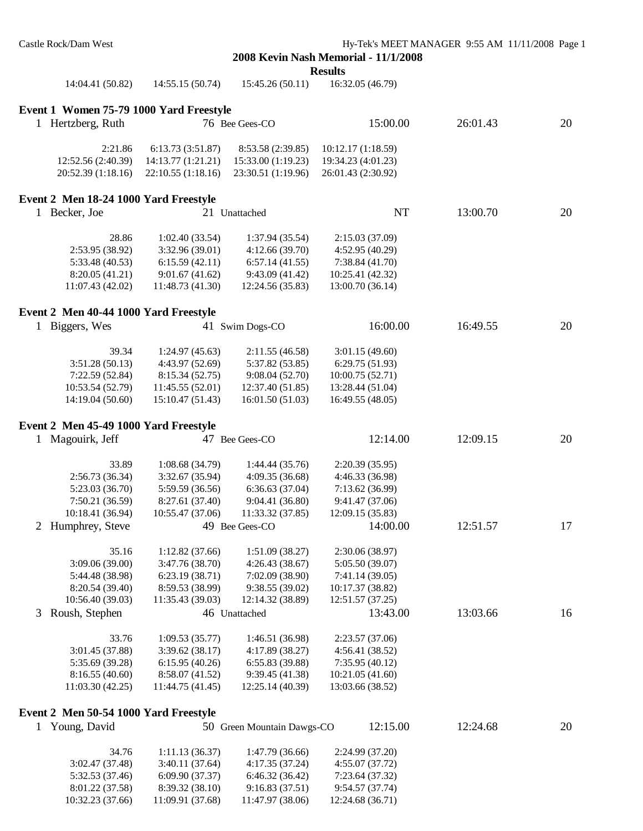**Results**

| 14:04.41 (50.82)                        | 14:55.15 (50.74)   | 15:45.26(50.11)            | 16:32.05 (46.79)   |          |    |
|-----------------------------------------|--------------------|----------------------------|--------------------|----------|----|
| Event 1 Women 75-79 1000 Yard Freestyle |                    |                            |                    |          |    |
| 1 Hertzberg, Ruth                       |                    | 76 Bee Gees-CO             | 15:00.00           | 26:01.43 | 20 |
| 2:21.86                                 | 6:13.73(3:51.87)   | 8:53.58 (2:39.85)          | 10:12.17 (1:18.59) |          |    |
| 12:52.56 (2:40.39)                      | 14:13.77 (1:21.21) | 15:33.00 (1:19.23)         | 19:34.23 (4:01.23) |          |    |
| 20:52.39 (1:18.16)                      | 22:10.55 (1:18.16) | 23:30.51 (1:19.96)         | 26:01.43 (2:30.92) |          |    |
| Event 2 Men 18-24 1000 Yard Freestyle   |                    |                            |                    |          |    |
| 1 Becker, Joe                           |                    | 21 Unattached              | NT                 | 13:00.70 | 20 |
| 28.86                                   | 1:02.40(33.54)     | 1:37.94(35.54)             | 2:15.03 (37.09)    |          |    |
| 2:53.95 (38.92)                         | 3:32.96 (39.01)    | 4:12.66(39.70)             | 4:52.95 (40.29)    |          |    |
| 5:33.48 (40.53)                         | 6:15.59(42.11)     | 6:57.14(41.55)             | 7:38.84 (41.70)    |          |    |
| 8:20.05 (41.21)                         | 9:01.67(41.62)     | 9:43.09(41.42)             | 10:25.41 (42.32)   |          |    |
| 11:07.43 (42.02)                        | 11:48.73 (41.30)   | 12:24.56 (35.83)           | 13:00.70 (36.14)   |          |    |
| Event 2 Men 40-44 1000 Yard Freestyle   |                    |                            |                    |          |    |
| 1 Biggers, Wes                          |                    | 41 Swim Dogs-CO            | 16:00.00           | 16:49.55 | 20 |
| 39.34                                   | 1:24.97(45.63)     | 2:11.55(46.58)             | 3:01.15(49.60)     |          |    |
| 3:51.28(50.13)                          | 4:43.97 (52.69)    | 5:37.82(53.85)             | 6:29.75(51.93)     |          |    |
| 7:22.59 (52.84)                         | 8:15.34 (52.75)    | 9:08.04(52.70)             | 10:00.75 (52.71)   |          |    |
| 10:53.54 (52.79)                        | 11:45.55 (52.01)   | 12:37.40(51.85)            | 13:28.44 (51.04)   |          |    |
| 14:19.04 (50.60)                        | 15:10.47 (51.43)   | 16:01.50(51.03)            | 16:49.55 (48.05)   |          |    |
| Event 2 Men 45-49 1000 Yard Freestyle   |                    |                            |                    |          |    |
| 1 Magouirk, Jeff                        |                    | 47 Bee Gees-CO             | 12:14.00           | 12:09.15 | 20 |
| 33.89                                   | 1:08.68(34.79)     | 1:44.44(35.76)             | 2:20.39 (35.95)    |          |    |
| 2:56.73 (36.34)                         | 3:32.67 (35.94)    | 4:09.35(36.68)             | 4:46.33 (36.98)    |          |    |
| 5:23.03 (36.70)                         | 5:59.59 (36.56)    | 6:36.63(37.04)             | 7:13.62 (36.99)    |          |    |
| 7:50.21 (36.59)                         | 8:27.61 (37.40)    | 9:04.41(36.80)             | 9:41.47 (37.06)    |          |    |
| 10:18.41 (36.94)                        | 10:55.47 (37.06)   | 11:33.32 (37.85)           | 12:09.15 (35.83)   |          |    |
| Humphrey, Steve<br>2                    |                    | 49 Bee Gees-CO             | 14:00.00           | 12:51.57 | 17 |
| 35.16                                   | 1:12.82 (37.66)    | 1:51.09(38.27)             | 2:30.06 (38.97)    |          |    |
| 3:09.06 (39.00)                         | 3:47.76 (38.70)    | 4:26.43(38.67)             | 5:05.50 (39.07)    |          |    |
| 5:44.48 (38.98)                         | 6:23.19(38.71)     | 7:02.09 (38.90)            | 7:41.14 (39.05)    |          |    |
| 8:20.54 (39.40)                         | 8:59.53 (38.99)    | 9:38.55(39.02)             | 10:17.37 (38.82)   |          |    |
| 10:56.40 (39.03)                        | 11:35.43 (39.03)   | 12:14.32 (38.89)           | 12:51.57(37.25)    |          |    |
| Roush, Stephen<br>3                     |                    | 46 Unattached              | 13:43.00           | 13:03.66 | 16 |
| 33.76                                   | 1:09.53(35.77)     | 1:46.51(36.98)             | 2:23.57 (37.06)    |          |    |
| 3:01.45 (37.88)                         | 3:39.62(38.17)     | 4:17.89 (38.27)            | 4:56.41 (38.52)    |          |    |
| 5:35.69 (39.28)                         | 6:15.95(40.26)     | 6:55.83(39.88)             | 7:35.95(40.12)     |          |    |
| 8:16.55(40.60)                          | 8:58.07 (41.52)    | 9:39.45(41.38)             | 10:21.05 (41.60)   |          |    |
| 11:03.30(42.25)                         | 11:44.75 (41.45)   | 12:25.14 (40.39)           | 13:03.66 (38.52)   |          |    |
| Event 2 Men 50-54 1000 Yard Freestyle   |                    |                            |                    |          |    |
| Young, David<br>1                       |                    | 50 Green Mountain Dawgs-CO | 12:15.00           | 12:24.68 | 20 |
| 34.76                                   | 1:11.13(36.37)     | 1:47.79 (36.66)            | 2:24.99 (37.20)    |          |    |
| 3:02.47 (37.48)                         | 3:40.11(37.64)     | 4:17.35(37.24)             | 4:55.07 (37.72)    |          |    |
| 5:32.53 (37.46)                         | 6:09.90 (37.37)    | 6:46.32(36.42)             | 7:23.64 (37.32)    |          |    |
| 8:01.22 (37.58)                         | 8:39.32 (38.10)    | 9:16.83(37.51)             | 9:54.57 (37.74)    |          |    |

10:32.23 (37.66) 11:09.91 (37.68) 11:47.97 (38.06) 12:24.68 (36.71)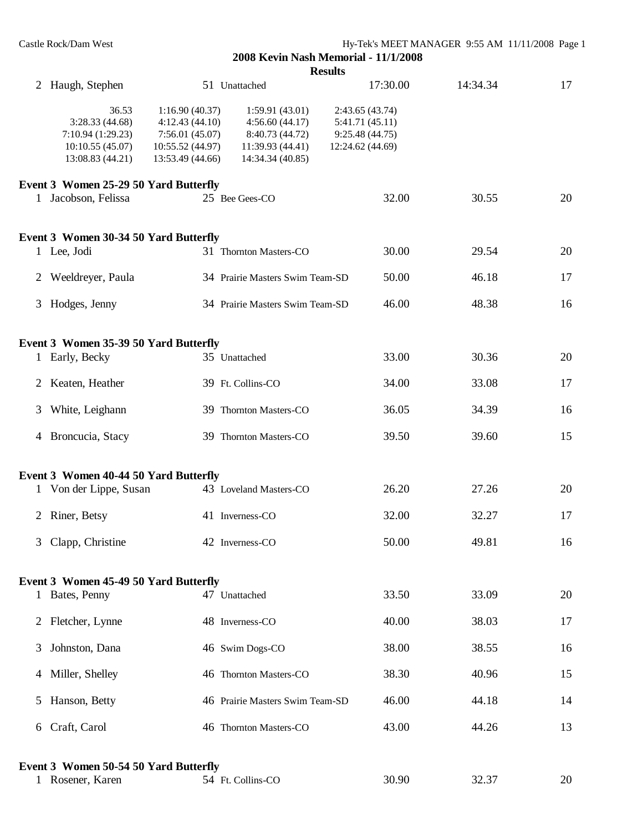|   |                                                                                     |                                                                                            |                                                                                             | <b>Results</b>                                                           |          |    |
|---|-------------------------------------------------------------------------------------|--------------------------------------------------------------------------------------------|---------------------------------------------------------------------------------------------|--------------------------------------------------------------------------|----------|----|
|   | 2 Haugh, Stephen                                                                    |                                                                                            | 51 Unattached                                                                               | 17:30.00                                                                 | 14:34.34 | 17 |
|   | 36.53<br>3:28.33(44.68)<br>7:10.94 (1:29.23)<br>10:10.55(45.07)<br>13:08.83 (44.21) | 1:16.90(40.37)<br>4:12.43(44.10)<br>7:56.01(45.07)<br>10:55.52 (44.97)<br>13:53.49 (44.66) | 1:59.91(43.01)<br>4:56.60(44.17)<br>8:40.73 (44.72)<br>11:39.93 (44.41)<br>14:34.34 (40.85) | 2:43.65(43.74)<br>5:41.71 (45.11)<br>9:25.48 (44.75)<br>12:24.62 (44.69) |          |    |
|   | Event 3 Women 25-29 50 Yard Butterfly                                               |                                                                                            |                                                                                             |                                                                          |          |    |
|   | 1 Jacobson, Felissa                                                                 |                                                                                            | 25 Bee Gees-CO                                                                              | 32.00                                                                    | 30.55    | 20 |
|   | Event 3 Women 30-34 50 Yard Butterfly                                               |                                                                                            |                                                                                             |                                                                          |          |    |
|   | 1 Lee, Jodi                                                                         |                                                                                            | 31 Thornton Masters-CO                                                                      | 30.00                                                                    | 29.54    | 20 |
| 2 | Weeldreyer, Paula                                                                   |                                                                                            | 34 Prairie Masters Swim Team-SD                                                             | 50.00                                                                    | 46.18    | 17 |
| 3 | Hodges, Jenny                                                                       |                                                                                            | 34 Prairie Masters Swim Team-SD                                                             | 46.00                                                                    | 48.38    | 16 |
|   | Event 3 Women 35-39 50 Yard Butterfly                                               |                                                                                            |                                                                                             |                                                                          |          |    |
|   | 1 Early, Becky                                                                      |                                                                                            | 35 Unattached                                                                               | 33.00                                                                    | 30.36    | 20 |
| 2 | Keaten, Heather                                                                     |                                                                                            | 39 Ft. Collins-CO                                                                           | 34.00                                                                    | 33.08    | 17 |
| 3 | White, Leighann                                                                     |                                                                                            | 39 Thornton Masters-CO                                                                      | 36.05                                                                    | 34.39    | 16 |
|   | 4 Broncucia, Stacy                                                                  |                                                                                            | 39 Thornton Masters-CO                                                                      | 39.50                                                                    | 39.60    | 15 |
|   | Event 3 Women 40-44 50 Yard Butterfly                                               |                                                                                            |                                                                                             |                                                                          |          |    |
|   | 1 Von der Lippe, Susan                                                              |                                                                                            | 43 Loveland Masters-CO                                                                      | 26.20                                                                    | 27.26    | 20 |
| 2 | Riner, Betsy                                                                        |                                                                                            | 41 Inverness-CO                                                                             | 32.00                                                                    | 32.27    | 17 |
| 3 | Clapp, Christine                                                                    |                                                                                            | 42 Inverness-CO                                                                             | 50.00                                                                    | 49.81    | 16 |
|   | Event 3 Women 45-49 50 Yard Butterfly                                               |                                                                                            |                                                                                             |                                                                          |          |    |
|   | 1 Bates, Penny                                                                      |                                                                                            | 47 Unattached                                                                               | 33.50                                                                    | 33.09    | 20 |
| 2 | Fletcher, Lynne                                                                     |                                                                                            | 48 Inverness-CO                                                                             | 40.00                                                                    | 38.03    | 17 |
| 3 | Johnston, Dana                                                                      |                                                                                            | 46 Swim Dogs-CO                                                                             | 38.00                                                                    | 38.55    | 16 |
|   | 4 Miller, Shelley                                                                   |                                                                                            | 46 Thornton Masters-CO                                                                      | 38.30                                                                    | 40.96    | 15 |
| 5 | Hanson, Betty                                                                       |                                                                                            | 46 Prairie Masters Swim Team-SD                                                             | 46.00                                                                    | 44.18    | 14 |
| 6 | Craft, Carol                                                                        |                                                                                            | 46 Thornton Masters-CO                                                                      | 43.00                                                                    | 44.26    | 13 |
|   | Event 3 Women 50-54 50 Yard Butterfly                                               |                                                                                            |                                                                                             |                                                                          |          |    |
|   | 1 Rosener, Karen                                                                    |                                                                                            | 54 Ft. Collins-CO                                                                           | 30.90                                                                    | 32.37    | 20 |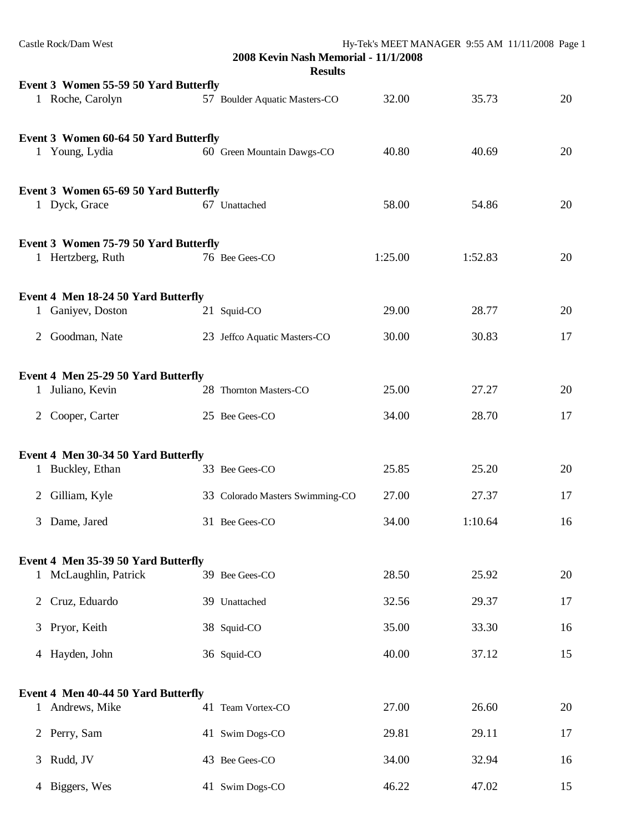|   | Castle Rock/Dam West                                      | 2008 Kevin Nash Memorial - 11/1/2008<br><b>Results</b> |         | Hy-Tek's MEET MANAGER 9:55 AM 11/11/2008 Page 1 |    |
|---|-----------------------------------------------------------|--------------------------------------------------------|---------|-------------------------------------------------|----|
|   |                                                           |                                                        |         |                                                 |    |
|   | Event 3 Women 55-59 50 Yard Butterfly<br>1 Roche, Carolyn | 57 Boulder Aquatic Masters-CO                          | 32.00   | 35.73                                           | 20 |
|   | Event 3 Women 60-64 50 Yard Butterfly<br>1 Young, Lydia   | 60 Green Mountain Dawgs-CO                             | 40.80   | 40.69                                           | 20 |
|   |                                                           |                                                        |         |                                                 |    |
|   | Event 3 Women 65-69 50 Yard Butterfly                     |                                                        |         |                                                 |    |
|   | 1 Dyck, Grace                                             | 67 Unattached                                          | 58.00   | 54.86                                           | 20 |
|   | Event 3 Women 75-79 50 Yard Butterfly                     |                                                        |         |                                                 |    |
|   | 1 Hertzberg, Ruth                                         | 76 Bee Gees-CO                                         | 1:25.00 | 1:52.83                                         | 20 |
|   | Event 4 Men 18-24 50 Yard Butterfly                       |                                                        |         |                                                 |    |
|   | 1 Ganiyev, Doston                                         | 21 Squid-CO                                            | 29.00   | 28.77                                           | 20 |
| 2 | Goodman, Nate                                             | 23 Jeffco Aquatic Masters-CO                           | 30.00   | 30.83                                           | 17 |
|   | Event 4 Men 25-29 50 Yard Butterfly                       |                                                        |         |                                                 |    |
|   | 1 Juliano, Kevin                                          | 28 Thornton Masters-CO                                 | 25.00   | 27.27                                           | 20 |
|   | 2 Cooper, Carter                                          | 25 Bee Gees-CO                                         | 34.00   | 28.70                                           | 17 |
|   | Event 4 Men 30-34 50 Yard Butterfly                       |                                                        |         |                                                 |    |
|   | 1 Buckley, Ethan                                          | 33 Bee Gees-CO                                         | 25.85   | 25.20                                           | 20 |
|   | 2 Gilliam, Kyle                                           | 33 Colorado Masters Swimming-CO                        | 27.00   | 27.37                                           | 17 |
| 3 | Dame, Jared                                               | 31 Bee Gees-CO                                         | 34.00   | 1:10.64                                         | 16 |
|   | Event 4 Men 35-39 50 Yard Butterfly                       |                                                        |         |                                                 |    |
|   | 1 McLaughlin, Patrick                                     | 39 Bee Gees-CO                                         | 28.50   | 25.92                                           | 20 |
| 2 | Cruz, Eduardo                                             | 39 Unattached                                          | 32.56   | 29.37                                           | 17 |
| 3 | Pryor, Keith                                              | 38 Squid-CO                                            | 35.00   | 33.30                                           | 16 |
|   | 4 Hayden, John                                            | 36 Squid-CO                                            | 40.00   | 37.12                                           | 15 |
|   |                                                           |                                                        |         |                                                 |    |
|   | Event 4 Men 40-44 50 Yard Butterfly<br>1 Andrews, Mike    | 41 Team Vortex-CO                                      | 27.00   | 26.60                                           | 20 |
| 2 | Perry, Sam                                                | 41 Swim Dogs-CO                                        | 29.81   | 29.11                                           | 17 |
| 3 | Rudd, JV                                                  | 43 Bee Gees-CO                                         | 34.00   | 32.94                                           | 16 |
|   | 4 Biggers, Wes                                            | 41 Swim Dogs-CO                                        | 46.22   | 47.02                                           | 15 |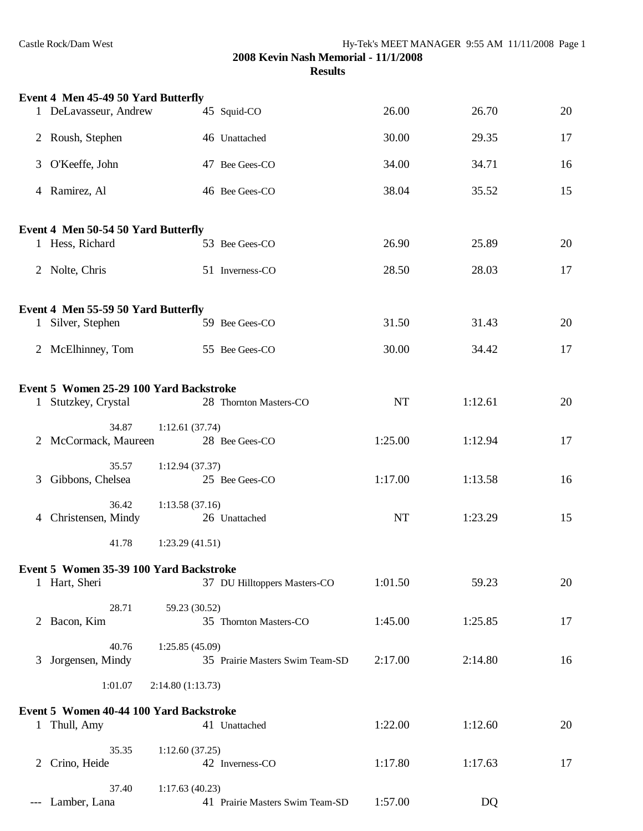|              | Event 4 Men 45-49 50 Yard Butterfly     |                  |                                 |           |         |    |
|--------------|-----------------------------------------|------------------|---------------------------------|-----------|---------|----|
|              | 1 DeLavasseur, Andrew                   |                  | 45 Squid-CO                     | 26.00     | 26.70   | 20 |
|              | 2 Roush, Stephen                        |                  | 46 Unattached                   | 30.00     | 29.35   | 17 |
|              | 3 O'Keeffe, John                        |                  | 47 Bee Gees-CO                  | 34.00     | 34.71   | 16 |
|              | 4 Ramirez, Al                           |                  | 46 Bee Gees-CO                  | 38.04     | 35.52   | 15 |
|              | Event 4 Men 50-54 50 Yard Butterfly     |                  |                                 |           |         |    |
|              | 1 Hess, Richard                         |                  | 53 Bee Gees-CO                  | 26.90     | 25.89   | 20 |
|              | 2 Nolte, Chris                          |                  | 51 Inverness-CO                 | 28.50     | 28.03   | 17 |
|              | Event 4 Men 55-59 50 Yard Butterfly     |                  |                                 |           |         |    |
|              | 1 Silver, Stephen                       |                  | 59 Bee Gees-CO                  | 31.50     | 31.43   | 20 |
|              | 2 McElhinney, Tom                       |                  | 55 Bee Gees-CO                  | 30.00     | 34.42   | 17 |
|              | Event 5 Women 25-29 100 Yard Backstroke |                  |                                 |           |         |    |
|              | 1 Stutzkey, Crystal                     |                  | 28 Thornton Masters-CO          | <b>NT</b> | 1:12.61 | 20 |
|              | 34.87                                   | 1:12.61(37.74)   |                                 |           |         |    |
|              | 2 McCormack, Maureen                    |                  | 28 Bee Gees-CO                  | 1:25.00   | 1:12.94 | 17 |
| 3            | 35.57<br>Gibbons, Chelsea               | 1:12.94(37.37)   | 25 Bee Gees-CO                  | 1:17.00   | 1:13.58 | 16 |
|              | 36.42<br>4 Christensen, Mindy           | 1:13.58(37.16)   | 26 Unattached                   | NT        | 1:23.29 | 15 |
|              | 41.78                                   | 1:23.29(41.51)   |                                 |           |         |    |
|              | Event 5 Women 35-39 100 Yard Backstroke |                  |                                 |           |         |    |
|              | 1 Hart, Sheri                           |                  | 37 DU Hilltoppers Masters-CO    | 1:01.50   | 59.23   | 20 |
|              | 28.71                                   | 59.23 (30.52)    |                                 |           |         |    |
|              | 2 Bacon, Kim                            |                  | 35 Thornton Masters-CO          | 1:45.00   | 1:25.85 | 17 |
| 3            | 40.76<br>Jorgensen, Mindy               | 1:25.85(45.09)   | 35 Prairie Masters Swim Team-SD | 2:17.00   | 2:14.80 | 16 |
|              | 1:01.07                                 | 2:14.80(1:13.73) |                                 |           |         |    |
|              | Event 5 Women 40-44 100 Yard Backstroke |                  |                                 |           |         |    |
| $\mathbf{1}$ | Thull, Amy                              |                  | 41 Unattached                   | 1:22.00   | 1:12.60 | 20 |
| 2            | 35.35<br>Crino, Heide                   | 1:12.60(37.25)   | 42 Inverness-CO                 | 1:17.80   | 1:17.63 | 17 |
|              | 37.40<br>--- Lamber, Lana               | 1:17.63(40.23)   | 41 Prairie Masters Swim Team-SD | 1:57.00   | DQ      |    |
|              |                                         |                  |                                 |           |         |    |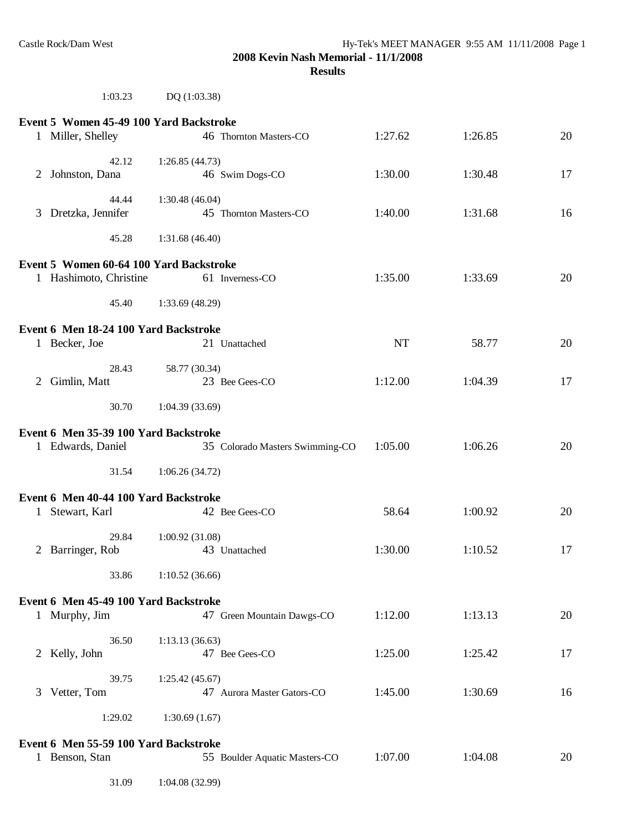# 1:03.23 DQ (1:03.38)

|                                       | Event 5 Women 45-49 100 Yard Backstroke                  |                 |                                 |           |         |    |
|---------------------------------------|----------------------------------------------------------|-----------------|---------------------------------|-----------|---------|----|
|                                       | 1 Miller, Shelley                                        |                 | 46 Thornton Masters-CO          | 1:27.62   | 1:26.85 | 20 |
| 2                                     | 42.12<br>Johnston, Dana                                  | 1:26.85(44.73)  | 46 Swim Dogs-CO                 | 1:30.00   | 1:30.48 | 17 |
|                                       | 44.44<br>3 Dretzka, Jennifer                             | 1:30.48(46.04)  | 45 Thornton Masters-CO          | 1:40.00   | 1:31.68 | 16 |
|                                       | 45.28                                                    | 1:31.68(46.40)  |                                 |           |         |    |
|                                       | Event 5 Women 60-64 100 Yard Backstroke                  |                 |                                 |           |         |    |
|                                       | 1 Hashimoto, Christine                                   |                 | 61 Inverness-CO                 | 1:35.00   | 1:33.69 | 20 |
|                                       | 45.40                                                    | 1:33.69 (48.29) |                                 |           |         |    |
|                                       | Event 6 Men 18-24 100 Yard Backstroke                    |                 |                                 |           |         |    |
|                                       | 1 Becker, Joe                                            |                 | 21 Unattached                   | <b>NT</b> | 58.77   | 20 |
|                                       | 28.43                                                    | 58.77 (30.34)   |                                 |           |         |    |
| 2                                     | Gimlin, Matt                                             |                 | 23 Bee Gees-CO                  | 1:12.00   | 1:04.39 | 17 |
|                                       | 30.70                                                    | 1:04.39(33.69)  |                                 |           |         |    |
| Event 6 Men 35-39 100 Yard Backstroke |                                                          |                 |                                 |           |         |    |
|                                       | 1 Edwards, Daniel                                        |                 | 35 Colorado Masters Swimming-CO | 1:05.00   | 1:06.26 | 20 |
|                                       | 31.54                                                    | 1:06.26(34.72)  |                                 |           |         |    |
|                                       |                                                          |                 |                                 |           |         |    |
|                                       | Event 6 Men 40-44 100 Yard Backstroke<br>1 Stewart, Karl |                 | 42 Bee Gees-CO                  | 58.64     | 1:00.92 | 20 |
|                                       |                                                          |                 |                                 |           |         |    |
|                                       | 29.84<br>2 Barringer, Rob                                | 1:00.92(31.08)  | 43 Unattached                   | 1:30.00   | 1:10.52 | 17 |
|                                       | 33.86                                                    | 1:10.52(36.66)  |                                 |           |         |    |
|                                       |                                                          |                 |                                 |           |         |    |
|                                       | Event 6 Men 45-49 100 Yard Backstroke                    |                 |                                 | 1:12.00   | 1:13.13 | 20 |
|                                       | 1 Murphy, Jim                                            |                 | 47 Green Mountain Dawgs-CO      |           |         |    |
|                                       | 36.50                                                    | 1:13.13(36.63)  |                                 |           |         |    |
|                                       | 2 Kelly, John                                            |                 | 47 Bee Gees-CO                  | 1:25.00   | 1:25.42 | 17 |
|                                       | 39.75                                                    | 1:25.42(45.67)  |                                 |           |         |    |
| 3                                     | Vetter, Tom                                              |                 | 47 Aurora Master Gators-CO      | 1:45.00   | 1:30.69 | 16 |
|                                       | 1:29.02                                                  | 1:30.69(1.67)   |                                 |           |         |    |
|                                       | Event 6 Men 55-59 100 Yard Backstroke                    |                 |                                 |           |         |    |
|                                       | 1 Benson, Stan                                           |                 | 55 Boulder Aquatic Masters-CO   | 1:07.00   | 1:04.08 | 20 |
|                                       | 31.09                                                    | 1:04.08 (32.99) |                                 |           |         |    |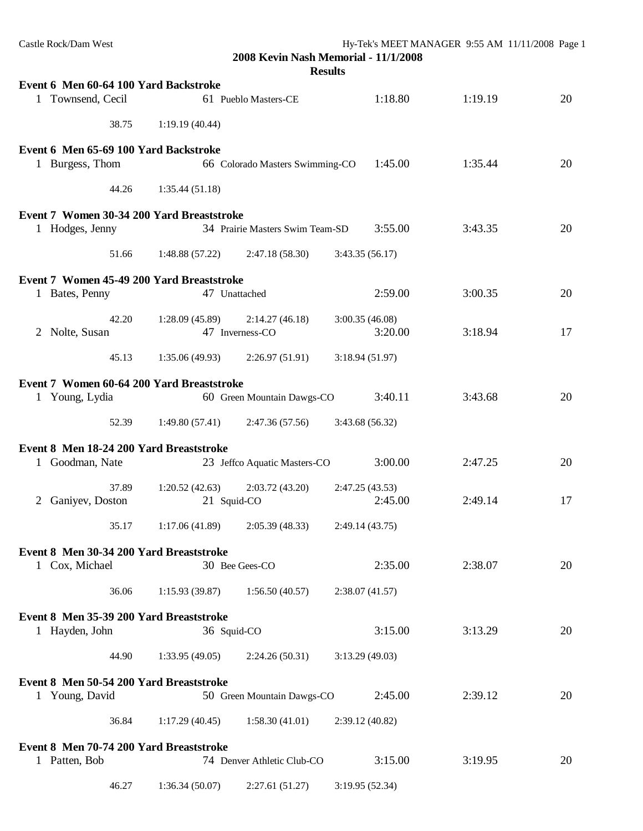| Castle Rock/Dam West                      |                | 2008 Kevin Nash Memorial - 11/1/2008 |                 | Hy-Tek's MEET MANAGER 9:55 AM 11/11/2008 Page 1 |         |    |
|-------------------------------------------|----------------|--------------------------------------|-----------------|-------------------------------------------------|---------|----|
|                                           |                |                                      | <b>Results</b>  |                                                 |         |    |
| Event 6 Men 60-64 100 Yard Backstroke     |                |                                      |                 |                                                 |         |    |
| 1 Townsend, Cecil                         |                | 61 Pueblo Masters-CE                 |                 | 1:18.80                                         | 1:19.19 | 20 |
| 38.75                                     | 1:19.19(40.44) |                                      |                 |                                                 |         |    |
| Event 6 Men 65-69 100 Yard Backstroke     |                |                                      |                 |                                                 |         |    |
| 1 Burgess, Thom                           |                | 66 Colorado Masters Swimming-CO      |                 | 1:45.00                                         | 1:35.44 | 20 |
| 44.26                                     | 1:35.44(51.18) |                                      |                 |                                                 |         |    |
| Event 7 Women 30-34 200 Yard Breaststroke |                |                                      |                 |                                                 |         |    |
| 1 Hodges, Jenny                           |                | 34 Prairie Masters Swim Team-SD      |                 | 3:55.00                                         | 3:43.35 | 20 |
| 51.66                                     | 1:48.88(57.22) | 2:47.18(58.30)                       | 3:43.35(56.17)  |                                                 |         |    |
| Event 7 Women 45-49 200 Yard Breaststroke |                |                                      |                 |                                                 |         |    |
| 1 Bates, Penny                            | 47 Unattached  |                                      |                 | 2:59.00                                         | 3:00.35 | 20 |
| 42.20                                     | 1:28.09(45.89) | 2:14.27(46.18)                       | 3:00.35(46.08)  |                                                 |         |    |
| 2 Nolte, Susan                            |                | 47 Inverness-CO                      |                 | 3:20.00                                         | 3:18.94 | 17 |
| 45.13                                     | 1:35.06(49.93) | 2:26.97(51.91)                       | 3:18.94(51.97)  |                                                 |         |    |
| Event 7 Women 60-64 200 Yard Breaststroke |                |                                      |                 |                                                 |         |    |
| 1 Young, Lydia                            |                | 60 Green Mountain Dawgs-CO           |                 | 3:40.11                                         | 3:43.68 | 20 |
| 52.39                                     | 1:49.80(57.41) | 2:47.36(57.56)                       | 3:43.68 (56.32) |                                                 |         |    |
| Event 8 Men 18-24 200 Yard Breaststroke   |                |                                      |                 |                                                 |         |    |
| 1 Goodman, Nate                           |                | 23 Jeffco Aquatic Masters-CO         |                 | 3:00.00                                         | 2:47.25 | 20 |
| 37.89                                     | 1:20.52(42.63) | 2:03.72(43.20)                       | 2:47.25(43.53)  |                                                 |         |    |
| 2 Ganiyev, Doston                         | 21 Squid-CO    |                                      |                 | 2:45.00                                         | 2:49.14 | 17 |
| 35.17                                     | 1:17.06(41.89) | 2:05.39(48.33)                       | 2:49.14(43.75)  |                                                 |         |    |
| Event 8 Men 30-34 200 Yard Breaststroke   |                |                                      |                 |                                                 |         |    |
| 1 Cox, Michael                            |                | 30 Bee Gees-CO                       |                 | 2:35.00                                         | 2:38.07 | 20 |
| 36.06                                     | 1:15.93(39.87) | 1:56.50(40.57)                       | 2:38.07 (41.57) |                                                 |         |    |
| Event 8 Men 35-39 200 Yard Breaststroke   |                |                                      |                 |                                                 |         |    |
| 1 Hayden, John                            | 36 Squid-CO    |                                      |                 | 3:15.00                                         | 3:13.29 | 20 |
| 44.90                                     | 1:33.95(49.05) | 2:24.26(50.31)                       | 3:13.29(49.03)  |                                                 |         |    |
| Event 8 Men 50-54 200 Yard Breaststroke   |                |                                      |                 |                                                 |         |    |
| 1 Young, David                            |                | 50 Green Mountain Dawgs-CO           |                 | 2:45.00                                         | 2:39.12 | 20 |
| 36.84                                     | 1:17.29(40.45) | 1:58.30(41.01)                       | 2:39.12 (40.82) |                                                 |         |    |
| Event 8 Men 70-74 200 Yard Breaststroke   |                |                                      |                 |                                                 |         |    |
| 1 Patten, Bob                             |                | 74 Denver Athletic Club-CO           |                 | 3:15.00                                         | 3:19.95 | 20 |
| 46.27                                     | 1:36.34(50.07) | 2:27.61 (51.27)                      | 3:19.95(52.34)  |                                                 |         |    |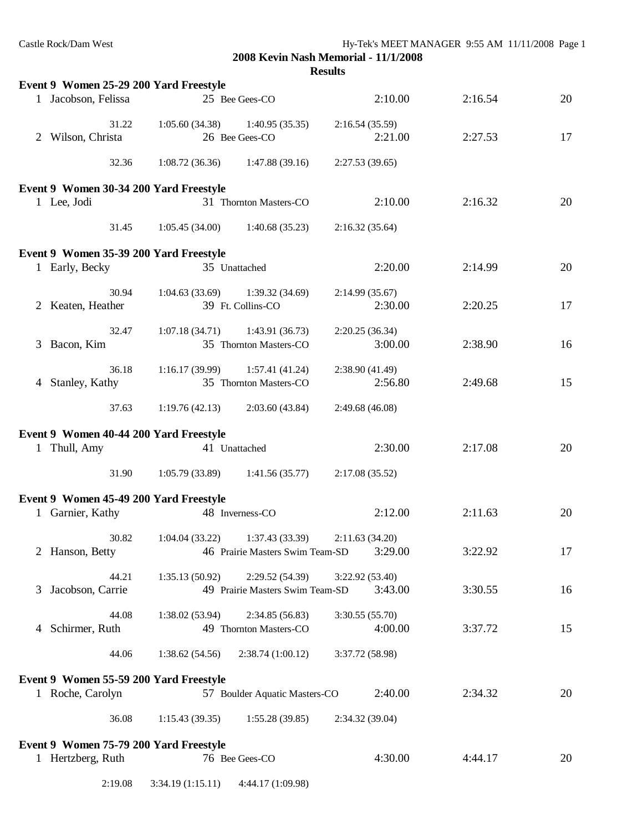| Castle Rock/Dam West |  |
|----------------------|--|
|----------------------|--|

|             |                                        |                                                       |                                   | <b>Results</b>  |         |    |
|-------------|----------------------------------------|-------------------------------------------------------|-----------------------------------|-----------------|---------|----|
|             | Event 9 Women 25-29 200 Yard Freestyle |                                                       |                                   |                 |         |    |
|             | 1 Jacobson, Felissa                    |                                                       | 25 Bee Gees-CO                    | 2:10.00         | 2:16.54 | 20 |
|             | 31.22                                  |                                                       | $1:05.60(34.38)$ $1:40.95(35.35)$ | 2:16.54(35.59)  |         |    |
| $2^{\circ}$ | Wilson, Christa                        |                                                       | 26 Bee Gees-CO                    | 2:21.00         | 2:27.53 | 17 |
|             | 32.36                                  |                                                       | $1:08.72(36.36)$ $1:47.88(39.16)$ | 2:27.53(39.65)  |         |    |
|             | Event 9 Women 30-34 200 Yard Freestyle |                                                       |                                   |                 |         |    |
|             | 1 Lee, Jodi                            |                                                       | 31 Thornton Masters-CO            | 2:10.00         | 2:16.32 | 20 |
|             | 31.45                                  |                                                       | $1:05.45(34.00)$ $1:40.68(35.23)$ | 2:16.32(35.64)  |         |    |
|             | Event 9 Women 35-39 200 Yard Freestyle |                                                       |                                   |                 |         |    |
|             | 1 Early, Becky                         |                                                       | 35 Unattached                     | 2:20.00         | 2:14.99 | 20 |
|             | 30.94                                  | $1:04.63(33.69)$ $1:39.32(34.69)$                     |                                   | 2:14.99(35.67)  |         |    |
|             | 2 Keaten, Heather                      |                                                       | 39 Ft. Collins-CO                 | 2:30.00         | 2:20.25 | 17 |
|             | 32.47                                  | $1:07.18(34.71)$ $1:43.91(36.73)$                     |                                   | 2:20.25(36.34)  |         |    |
| 3           | Bacon, Kim                             |                                                       | 35 Thornton Masters-CO            | 3:00.00         | 2:38.90 | 16 |
|             | 36.18                                  | $1:16.17(39.99)$ $1:57.41(41.24)$                     |                                   | 2:38.90(41.49)  |         |    |
| 4           | Stanley, Kathy                         | 35 Thornton Masters-CO                                |                                   | 2:56.80         | 2:49.68 | 15 |
|             | 37.63                                  | 1:19.76(42.13)                                        | 2:03.60(43.84)                    | 2:49.68(46.08)  |         |    |
|             | Event 9 Women 40-44 200 Yard Freestyle |                                                       |                                   |                 |         |    |
|             | 1 Thull, Amy                           |                                                       | 41 Unattached                     | 2:30.00         | 2:17.08 | 20 |
|             | 31.90                                  |                                                       | $1:05.79(33.89)$ $1:41.56(35.77)$ | 2:17.08(35.52)  |         |    |
|             | Event 9 Women 45-49 200 Yard Freestyle |                                                       |                                   |                 |         |    |
|             | 1 Garnier, Kathy                       |                                                       | 48 Inverness-CO                   | 2:12.00         | 2:11.63 | 20 |
|             |                                        | 30.82 1:04.04 (33.22) 1:37.43 (33.39) 2:11.63 (34.20) |                                   |                 |         |    |
|             | 2 Hanson, Betty                        |                                                       | 46 Prairie Masters Swim Team-SD   | 3:29.00         | 3:22.92 | 17 |
|             | 44.21                                  | 1:35.13(50.92)                                        | 2:29.52(54.39)                    | 3:22.92(53.40)  |         |    |
| 3           | Jacobson, Carrie                       |                                                       | 49 Prairie Masters Swim Team-SD   | 3:43.00         | 3:30.55 | 16 |
|             | 44.08                                  | 1:38.02(53.94)                                        | 2:34.85(56.83)                    | 3:30.55(55.70)  |         |    |
| 4           | Schirmer, Ruth                         |                                                       | 49 Thornton Masters-CO            | 4:00.00         | 3:37.72 | 15 |
|             | 44.06                                  | 1:38.62(54.56)                                        | 2:38.74(1:00.12)                  | 3:37.72 (58.98) |         |    |
|             | Event 9 Women 55-59 200 Yard Freestyle |                                                       |                                   |                 |         |    |
|             | 1 Roche, Carolyn                       |                                                       | 57 Boulder Aquatic Masters-CO     | 2:40.00         | 2:34.32 | 20 |
|             | 36.08                                  | 1:15.43(39.35)                                        | 1:55.28(39.85)                    | 2:34.32 (39.04) |         |    |
|             | Event 9 Women 75-79 200 Yard Freestyle |                                                       |                                   |                 |         |    |
|             | 1 Hertzberg, Ruth                      |                                                       | 76 Bee Gees-CO                    | 4:30.00         | 4:44.17 | 20 |
|             | 2:19.08                                | 3:34.19(1:15.11)                                      | 4:44.17 (1:09.98)                 |                 |         |    |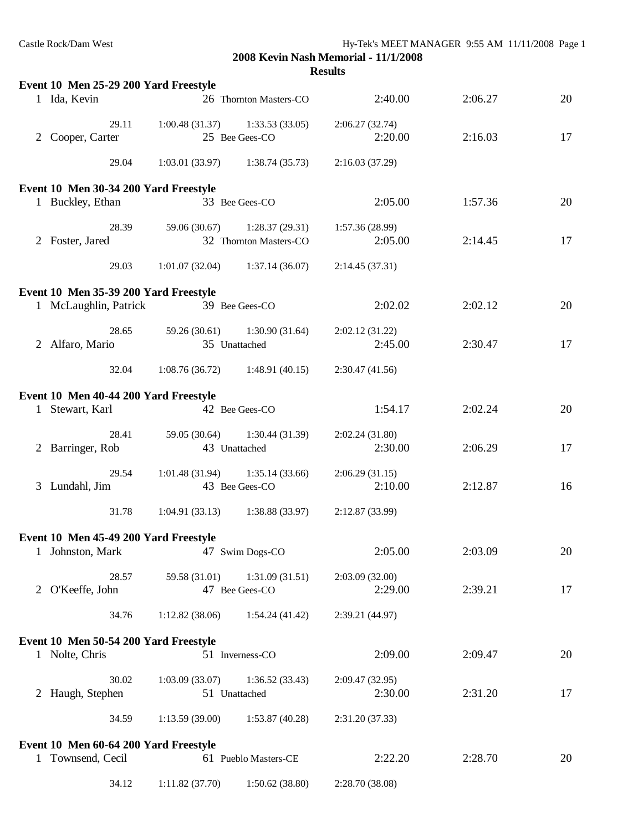| Event 10 Men 25-29 200 Yard Freestyle |                                   |                                   |                 |         |    |
|---------------------------------------|-----------------------------------|-----------------------------------|-----------------|---------|----|
| 1 Ida, Kevin                          |                                   | 26 Thornton Masters-CO            | 2:40.00         | 2:06.27 | 20 |
| 29.11                                 | $1:00.48(31.37)$ $1:33.53(33.05)$ |                                   | 2:06.27(32.74)  |         |    |
| 2 Cooper, Carter                      |                                   | 25 Bee Gees-CO                    | 2:20.00         | 2:16.03 | 17 |
| 29.04                                 |                                   | $1:03.01(33.97)$ $1:38.74(35.73)$ | 2:16.03(37.29)  |         |    |
| Event 10 Men 30-34 200 Yard Freestyle |                                   |                                   |                 |         |    |
| 1 Buckley, Ethan                      |                                   | 33 Bee Gees-CO                    | 2:05.00         | 1:57.36 | 20 |
| 28.39                                 | 59.06 (30.67)                     | 1:28.37(29.31)                    | 1:57.36(28.99)  |         |    |
| 2 Foster, Jared                       |                                   | 32 Thornton Masters-CO            | 2:05.00         | 2:14.45 | 17 |
| 29.03                                 |                                   | $1:01.07(32.04)$ $1:37.14(36.07)$ | 2:14.45(37.31)  |         |    |
| Event 10 Men 35-39 200 Yard Freestyle |                                   |                                   |                 |         |    |
| 1 McLaughlin, Patrick                 | 39 Bee Gees-CO                    |                                   | 2:02.02         | 2:02.12 | 20 |
| 28.65                                 |                                   | 59.26 (30.61) 1:30.90 (31.64)     | 2:02.12(31.22)  |         |    |
| 2 Alfaro, Mario                       |                                   | 35 Unattached                     | 2:45.00         | 2:30.47 | 17 |
| 32.04                                 | $1:08.76(36.72)$ 1:48.91 (40.15)  |                                   | 2:30.47(41.56)  |         |    |
| Event 10 Men 40-44 200 Yard Freestyle |                                   |                                   |                 |         |    |
| 1 Stewart, Karl                       |                                   | 42 Bee Gees-CO                    | 1:54.17         | 2:02.24 | 20 |
| 28.41                                 |                                   | 59.05 (30.64) 1:30.44 (31.39)     | 2:02.24(31.80)  |         |    |
| 2 Barringer, Rob                      |                                   | 43 Unattached                     | 2:30.00         | 2:06.29 | 17 |
| 29.54                                 | $1:01.48(31.94)$ $1:35.14(33.66)$ |                                   | 2:06.29(31.15)  |         |    |
| 3 Lundahl, Jim                        |                                   | 43 Bee Gees-CO                    | 2:10.00         | 2:12.87 | 16 |
| 31.78                                 | $1:04.91(33.13)$ $1:38.88(33.97)$ |                                   | 2:12.87 (33.99) |         |    |
| Event 10 Men 45-49 200 Yard Freestyle |                                   |                                   |                 |         |    |
| 1 Johnston, Mark                      | 47 Swim Dogs-CO                   |                                   | 2:05.00         | 2:03.09 | 20 |
| 28.57                                 | 59.58 (31.01)                     | 1:31.09(31.51)                    | 2:03.09(32.00)  |         |    |
| 2 O'Keeffe, John                      |                                   | 47 Bee Gees-CO                    | 2:29.00         | 2:39.21 | 17 |
| 34.76                                 | 1:12.82(38.06)                    | 1:54.24(41.42)                    | 2:39.21 (44.97) |         |    |
| Event 10 Men 50-54 200 Yard Freestyle |                                   |                                   |                 |         |    |
| 1 Nolte, Chris                        |                                   | 51 Inverness-CO                   | 2:09.00         | 2:09.47 | 20 |
| 30.02                                 | 1:03.09(33.07)                    | 1:36.52(33.43)                    | 2:09.47(32.95)  |         |    |
| 2 Haugh, Stephen                      |                                   | 51 Unattached                     | 2:30.00         | 2:31.20 | 17 |
| 34.59                                 | 1:13.59(39.00)                    | 1:53.87(40.28)                    | 2:31.20 (37.33) |         |    |
| Event 10 Men 60-64 200 Yard Freestyle |                                   |                                   |                 |         |    |
| 1 Townsend, Cecil                     |                                   | 61 Pueblo Masters-CE              | 2:22.20         | 2:28.70 | 20 |
| 34.12                                 | 1:11.82(37.70)                    | 1:50.62(38.80)                    | 2:28.70 (38.08) |         |    |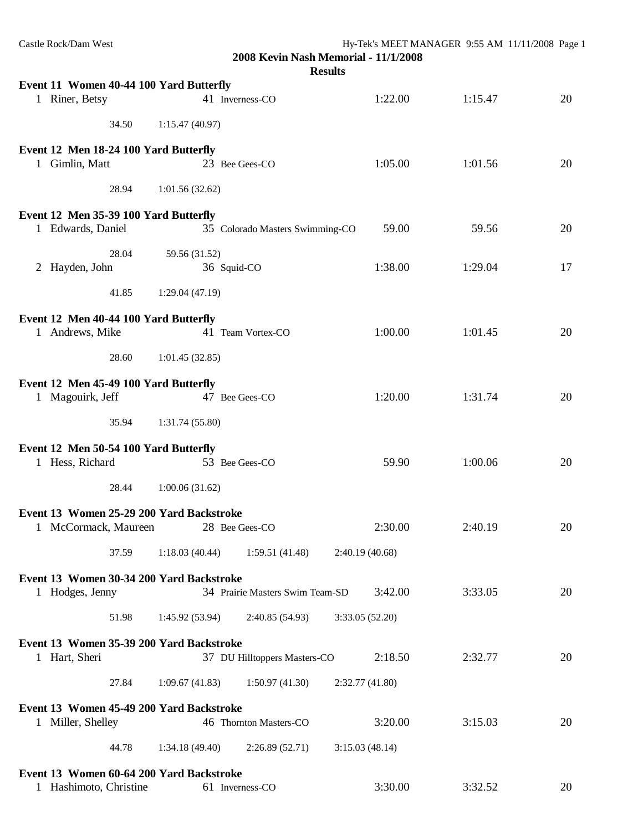| Castle Rock/Dam West                                             |                | 2008 Kevin Nash Memorial - 11/1/2008<br><b>Results</b> |                 |         | Hy-Tek's MEET MANAGER 9:55 AM 11/11/2008 Page 1 |    |
|------------------------------------------------------------------|----------------|--------------------------------------------------------|-----------------|---------|-------------------------------------------------|----|
| Event 11 Women 40-44 100 Yard Butterfly                          |                |                                                        |                 |         |                                                 |    |
| 1 Riner, Betsy                                                   |                | 41 Inverness-CO                                        |                 | 1:22.00 | 1:15.47                                         | 20 |
| 34.50                                                            | 1:15.47(40.97) |                                                        |                 |         |                                                 |    |
| Event 12 Men 18-24 100 Yard Butterfly                            |                |                                                        |                 |         |                                                 |    |
| 1 Gimlin, Matt                                                   |                | 23 Bee Gees-CO                                         |                 | 1:05.00 | 1:01.56                                         | 20 |
| 28.94                                                            | 1:01.56(32.62) |                                                        |                 |         |                                                 |    |
| Event 12 Men 35-39 100 Yard Butterfly                            |                |                                                        |                 |         |                                                 |    |
| 1 Edwards, Daniel                                                |                | 35 Colorado Masters Swimming-CO                        |                 | 59.00   | 59.56                                           | 20 |
| 28.04                                                            | 59.56 (31.52)  |                                                        |                 |         |                                                 |    |
| 2 Hayden, John                                                   |                | 36 Squid-CO                                            |                 | 1:38.00 | 1:29.04                                         | 17 |
| 41.85                                                            | 1:29.04(47.19) |                                                        |                 |         |                                                 |    |
| Event 12 Men 40-44 100 Yard Butterfly                            |                |                                                        |                 |         |                                                 |    |
| 1 Andrews, Mike                                                  |                | 41 Team Vortex-CO                                      |                 | 1:00.00 | 1:01.45                                         | 20 |
| 28.60                                                            | 1:01.45(32.85) |                                                        |                 |         |                                                 |    |
| Event 12 Men 45-49 100 Yard Butterfly                            |                |                                                        |                 |         |                                                 |    |
| 1 Magouirk, Jeff                                                 |                | 47 Bee Gees-CO                                         |                 | 1:20.00 | 1:31.74                                         | 20 |
| 35.94                                                            | 1:31.74(55.80) |                                                        |                 |         |                                                 |    |
|                                                                  |                |                                                        |                 |         |                                                 |    |
| Event 12 Men 50-54 100 Yard Butterfly<br>1 Hess, Richard         |                | 53 Bee Gees-CO                                         |                 | 59.90   | 1:00.06                                         | 20 |
| 28.44                                                            | 1:00.06(31.62) |                                                        |                 |         |                                                 |    |
|                                                                  |                |                                                        |                 |         |                                                 |    |
| Event 13 Women 25-29 200 Yard Backstroke<br>1 McCormack, Maureen |                | 28 Bee Gees-CO                                         |                 | 2:30.00 | 2:40.19                                         | 20 |
| 37.59                                                            | 1:18.03(40.44) | 1:59.51(41.48)                                         | 2:40.19 (40.68) |         |                                                 |    |
| Event 13 Women 30-34 200 Yard Backstroke                         |                |                                                        |                 |         |                                                 |    |
| 1 Hodges, Jenny                                                  |                | 34 Prairie Masters Swim Team-SD                        |                 | 3:42.00 | 3:33.05                                         | 20 |
| 51.98                                                            | 1:45.92(53.94) | 2:40.85 (54.93)                                        | 3:33.05 (52.20) |         |                                                 |    |
| Event 13 Women 35-39 200 Yard Backstroke                         |                |                                                        |                 |         |                                                 |    |
| 1 Hart, Sheri                                                    |                | 37 DU Hilltoppers Masters-CO                           |                 | 2:18.50 | 2:32.77                                         | 20 |
| 27.84                                                            | 1:09.67(41.83) | 1:50.97(41.30)                                         | 2:32.77(41.80)  |         |                                                 |    |
| Event 13 Women 45-49 200 Yard Backstroke                         |                |                                                        |                 |         |                                                 |    |
| 1 Miller, Shelley                                                |                | 46 Thornton Masters-CO                                 |                 | 3:20.00 | 3:15.03                                         | 20 |
| 44.78                                                            | 1:34.18(49.40) | 2:26.89(52.71)                                         | 3:15.03(48.14)  |         |                                                 |    |
| Event 13 Women 60-64 200 Yard Backstroke                         |                |                                                        |                 |         |                                                 |    |
| 1 Hashimoto, Christine                                           |                | 61 Inverness-CO                                        |                 | 3:30.00 | 3:32.52                                         | 20 |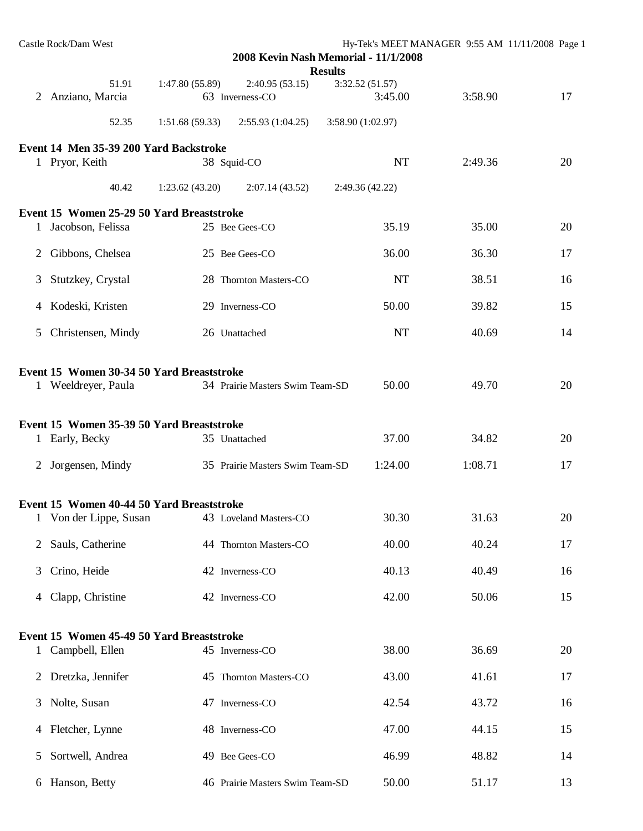|   | Castle Rock/Dam West                                                                                          |                |                                 | 2008 Kevin Nash Memorial - 11/1/2008<br><b>Results</b> | Hy-Tek's MEET MANAGER 9:55 AM 11/11/2008 Page 1 |    |
|---|---------------------------------------------------------------------------------------------------------------|----------------|---------------------------------|--------------------------------------------------------|-------------------------------------------------|----|
|   | 51.91                                                                                                         | 1:47.80(55.89) | 2:40.95(53.15)                  | 3:32.52(51.57)                                         |                                                 |    |
|   | 2 Anziano, Marcia                                                                                             |                | 63 Inverness-CO                 | 3:45.00                                                | 3:58.90                                         | 17 |
|   | 52.35                                                                                                         | 1:51.68(59.33) | 2:55.93(1:04.25)                | 3:58.90 (1:02.97)                                      |                                                 |    |
|   | Event 14 Men 35-39 200 Yard Backstroke                                                                        |                |                                 |                                                        |                                                 |    |
|   | 1 Pryor, Keith                                                                                                |                | 38 Squid-CO                     | <b>NT</b>                                              | 2:49.36                                         | 20 |
|   | 40.42                                                                                                         | 1:23.62(43.20) | 2:07.14(43.52)                  | 2:49.36(42.22)                                         |                                                 |    |
|   | Event 15 Women 25-29 50 Yard Breaststroke                                                                     |                |                                 |                                                        |                                                 |    |
|   | 1 Jacobson, Felissa                                                                                           |                | 25 Bee Gees-CO                  | 35.19                                                  | 35.00                                           | 20 |
| 2 | Gibbons, Chelsea                                                                                              |                | 25 Bee Gees-CO                  | 36.00                                                  | 36.30                                           | 17 |
| 3 | Stutzkey, Crystal                                                                                             |                | 28 Thornton Masters-CO          | NT                                                     | 38.51                                           | 16 |
|   | 4 Kodeski, Kristen                                                                                            |                | 29 Inverness-CO                 | 50.00                                                  | 39.82                                           | 15 |
| 5 | Christensen, Mindy                                                                                            |                | 26 Unattached                   | <b>NT</b>                                              | 40.69                                           | 14 |
|   | Event 15 Women 30-34 50 Yard Breaststroke<br>1 Weeldreyer, Paula<br>Event 15 Women 35-39 50 Yard Breaststroke |                | 34 Prairie Masters Swim Team-SD | 50.00                                                  | 49.70                                           | 20 |
|   | 1 Early, Becky                                                                                                |                | 35 Unattached                   | 37.00                                                  | 34.82                                           | 20 |
|   | 2 Jorgensen, Mindy                                                                                            |                | 35 Prairie Masters Swim Team-SD | 1:24.00                                                | 1:08.71                                         | 17 |
|   | Event 15 Women 40-44 50 Yard Breaststroke                                                                     |                |                                 |                                                        |                                                 |    |
|   | Von der Lippe, Susan                                                                                          |                | 43 Loveland Masters-CO          | 30.30                                                  | 31.63                                           | 20 |
| 2 | Sauls, Catherine                                                                                              |                | 44 Thornton Masters-CO          | 40.00                                                  | 40.24                                           | 17 |
| 3 | Crino, Heide                                                                                                  |                | 42 Inverness-CO                 | 40.13                                                  | 40.49                                           | 16 |
| 4 | Clapp, Christine                                                                                              |                | 42 Inverness-CO                 | 42.00                                                  | 50.06                                           | 15 |
|   | Event 15 Women 45-49 50 Yard Breaststroke                                                                     |                |                                 |                                                        |                                                 |    |
|   | 1 Campbell, Ellen                                                                                             |                | 45 Inverness-CO                 | 38.00                                                  | 36.69                                           | 20 |
| 2 | Dretzka, Jennifer                                                                                             |                | 45 Thornton Masters-CO          | 43.00                                                  | 41.61                                           | 17 |
| 3 | Nolte, Susan                                                                                                  |                | 47 Inverness-CO                 | 42.54                                                  | 43.72                                           | 16 |
| 4 | Fletcher, Lynne                                                                                               |                | 48 Inverness-CO                 | 47.00                                                  | 44.15                                           | 15 |
| 5 | Sortwell, Andrea                                                                                              |                | 49 Bee Gees-CO                  | 46.99                                                  | 48.82                                           | 14 |
|   | 6 Hanson, Betty                                                                                               |                | 46 Prairie Masters Swim Team-SD | 50.00                                                  | 51.17                                           | 13 |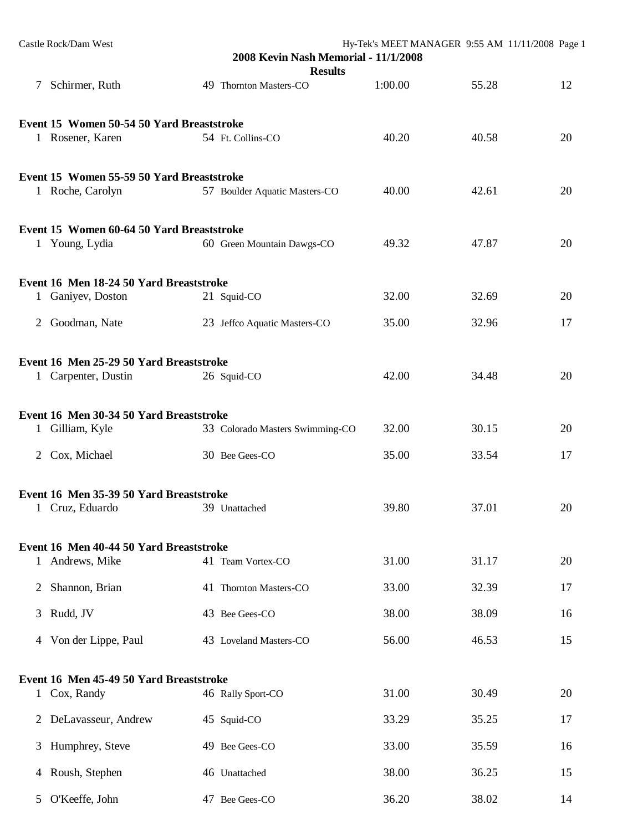|              | Castle Rock/Dam West                      | 2008 Kevin Nash Memorial - 11/1/2008<br><b>Results</b> | Hy-Tek's MEET MANAGER 9:55 AM 11/11/2008 Page 1 |       |    |
|--------------|-------------------------------------------|--------------------------------------------------------|-------------------------------------------------|-------|----|
|              | 7 Schirmer, Ruth                          | 49 Thornton Masters-CO                                 | 1:00.00                                         | 55.28 | 12 |
|              | Event 15 Women 50-54 50 Yard Breaststroke |                                                        |                                                 |       |    |
|              | 1 Rosener, Karen                          | 54 Ft. Collins-CO                                      | 40.20                                           | 40.58 | 20 |
|              | Event 15 Women 55-59 50 Yard Breaststroke |                                                        | 40.00                                           | 42.61 |    |
|              | 1 Roche, Carolyn                          | 57 Boulder Aquatic Masters-CO                          |                                                 |       | 20 |
|              | Event 15 Women 60-64 50 Yard Breaststroke |                                                        |                                                 |       |    |
|              | 1 Young, Lydia                            | 60 Green Mountain Dawgs-CO                             | 49.32                                           | 47.87 | 20 |
|              | Event 16 Men 18-24 50 Yard Breaststroke   |                                                        |                                                 |       |    |
|              | 1 Ganiyev, Doston                         | 21 Squid-CO                                            | 32.00                                           | 32.69 | 20 |
|              | 2 Goodman, Nate                           | 23 Jeffco Aquatic Masters-CO                           | 35.00                                           | 32.96 | 17 |
|              | Event 16 Men 25-29 50 Yard Breaststroke   |                                                        |                                                 |       |    |
|              | 1 Carpenter, Dustin                       | 26 Squid-CO                                            | 42.00                                           | 34.48 | 20 |
|              | Event 16 Men 30-34 50 Yard Breaststroke   |                                                        |                                                 |       |    |
|              | 1 Gilliam, Kyle                           | 33 Colorado Masters Swimming-CO                        | 32.00                                           | 30.15 | 20 |
|              | 2 Cox, Michael                            | 30 Bee Gees-CO                                         | 35.00                                           | 33.54 | 17 |
|              | Event 16 Men 35-39 50 Yard Breaststroke   |                                                        |                                                 |       |    |
|              | 1 Cruz, Eduardo                           | 39 Unattached                                          | 39.80                                           | 37.01 | 20 |
|              | Event 16 Men 40-44 50 Yard Breaststroke   |                                                        |                                                 |       |    |
| $\mathbf{1}$ | Andrews, Mike                             | 41 Team Vortex-CO                                      | 31.00                                           | 31.17 | 20 |
| 2            | Shannon, Brian                            | 41 Thornton Masters-CO                                 | 33.00                                           | 32.39 | 17 |
| 3            | Rudd, JV                                  | 43 Bee Gees-CO                                         | 38.00                                           | 38.09 | 16 |
|              | 4 Von der Lippe, Paul                     | 43 Loveland Masters-CO                                 | 56.00                                           | 46.53 | 15 |
|              | Event 16 Men 45-49 50 Yard Breaststroke   |                                                        |                                                 |       |    |
|              | 1 Cox, Randy                              | 46 Rally Sport-CO                                      | 31.00                                           | 30.49 | 20 |
| 2            | DeLavasseur, Andrew                       | 45 Squid-CO                                            | 33.29                                           | 35.25 | 17 |
| 3            | Humphrey, Steve                           | 49 Bee Gees-CO                                         | 33.00                                           | 35.59 | 16 |
| 4            | Roush, Stephen                            | 46 Unattached                                          | 38.00                                           | 36.25 | 15 |
| 5            | O'Keeffe, John                            | 47 Bee Gees-CO                                         | 36.20                                           | 38.02 | 14 |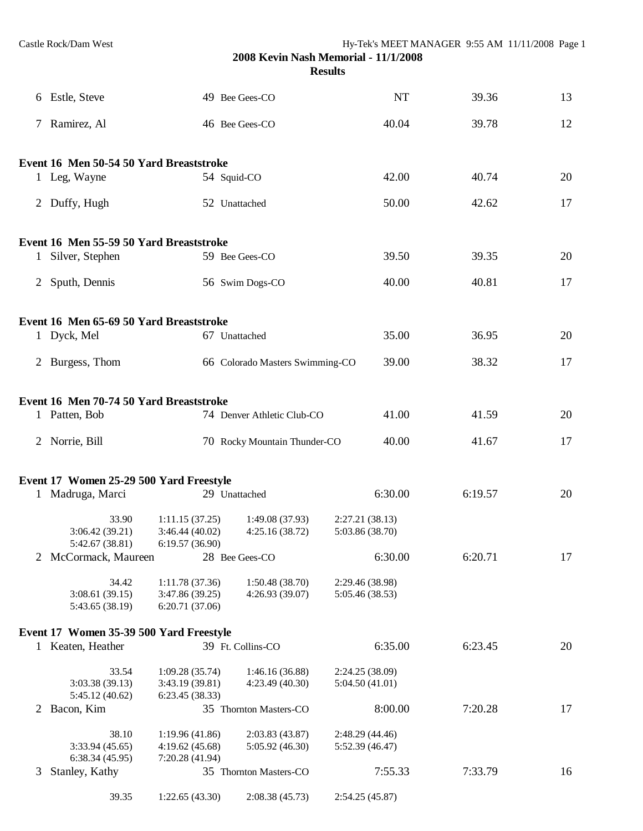|              | 6 Estle, Steve                             |                                                     | 49 Bee Gees-CO                     | <b>NT</b>                          | 39.36   | 13 |
|--------------|--------------------------------------------|-----------------------------------------------------|------------------------------------|------------------------------------|---------|----|
|              | 7 Ramirez, Al                              |                                                     | 46 Bee Gees-CO                     | 40.04                              | 39.78   | 12 |
|              | Event 16 Men 50-54 50 Yard Breaststroke    |                                                     |                                    |                                    |         |    |
|              | 1 Leg, Wayne                               |                                                     | 54 Squid-CO                        | 42.00                              | 40.74   | 20 |
|              | 2 Duffy, Hugh                              |                                                     | 52 Unattached                      | 50.00                              | 42.62   | 17 |
|              | Event 16 Men 55-59 50 Yard Breaststroke    |                                                     |                                    |                                    |         |    |
| $\mathbf{1}$ | Silver, Stephen                            |                                                     | 59 Bee Gees-CO                     | 39.50                              | 39.35   | 20 |
|              | 2 Sputh, Dennis                            |                                                     | 56 Swim Dogs-CO                    | 40.00                              | 40.81   | 17 |
|              | Event 16 Men 65-69 50 Yard Breaststroke    |                                                     |                                    |                                    |         |    |
|              | 1 Dyck, Mel                                |                                                     | 67 Unattached                      | 35.00                              | 36.95   | 20 |
| 2            | Burgess, Thom                              |                                                     | 66 Colorado Masters Swimming-CO    | 39.00                              | 38.32   | 17 |
|              | Event 16 Men 70-74 50 Yard Breaststroke    |                                                     |                                    |                                    |         |    |
|              | 1 Patten, Bob                              |                                                     | 74 Denver Athletic Club-CO         | 41.00                              | 41.59   | 20 |
|              | 2 Norrie, Bill                             |                                                     | 70 Rocky Mountain Thunder-CO       | 40.00                              | 41.67   | 17 |
|              | Event 17 Women 25-29 500 Yard Freestyle    |                                                     |                                    |                                    |         |    |
|              | 1 Madruga, Marci                           |                                                     | 29 Unattached                      | 6:30.00                            | 6:19.57 | 20 |
|              | 33.90<br>3:06.42(39.21)<br>5:42.67 (38.81) | 1:11.15(37.25)<br>3:46.44(40.02)<br>6:19.57 (36.90) | 1:49.08 (37.93)<br>4:25.16(38.72)  | 2:27.21(38.13)<br>5:03.86 (38.70)  |         |    |
| 2            | McCormack, Maureen                         |                                                     | 28 Bee Gees-CO                     | 6:30.00                            | 6:20.71 | 17 |
|              | 34.42<br>3:08.61(39.15)<br>5:43.65 (38.19) | 1:11.78(37.36)<br>3:47.86 (39.25)<br>6:20.71(37.06) | 1:50.48(38.70)<br>4:26.93 (39.07)  | 2:29.46 (38.98)<br>5:05.46 (38.53) |         |    |
|              | Event 17 Women 35-39 500 Yard Freestyle    |                                                     |                                    |                                    |         |    |
|              | 1 Keaten, Heather                          |                                                     | 39 Ft. Collins-CO                  | 6:35.00                            | 6:23.45 | 20 |
|              | 33.54<br>3:03.38(39.13)<br>5:45.12(40.62)  | 1:09.28(35.74)<br>3:43.19 (39.81)<br>6:23.45(38.33) | 1:46.16 (36.88)<br>4:23.49 (40.30) | 2:24.25 (38.09)<br>5:04.50 (41.01) |         |    |
| 2            | Bacon, Kim                                 |                                                     | 35 Thornton Masters-CO             | 8:00.00                            | 7:20.28 | 17 |
|              | 38.10<br>3:33.94(45.65)<br>6:38.34(45.95)  | 1:19.96(41.86)<br>4:19.62(45.68)<br>7:20.28 (41.94) | 2:03.83(43.87)<br>5:05.92 (46.30)  | 2:48.29 (44.46)<br>5:52.39 (46.47) |         |    |
| 3            | Stanley, Kathy                             |                                                     | 35 Thornton Masters-CO             | 7:55.33                            | 7:33.79 | 16 |
|              | 39.35                                      | 1:22.65(43.30)                                      | 2:08.38(45.73)                     | 2:54.25(45.87)                     |         |    |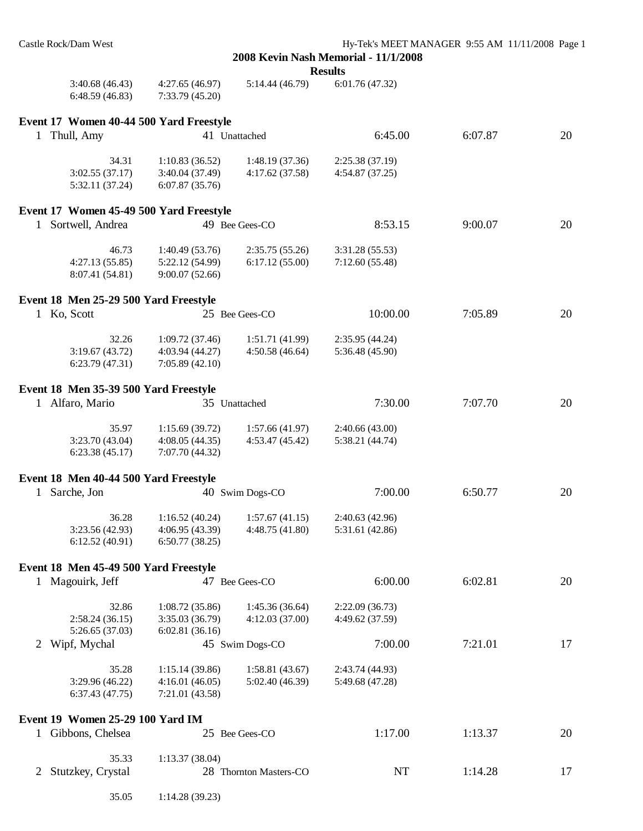|                                             |                                                     |                                   | <b>Results</b>                     |         |    |
|---------------------------------------------|-----------------------------------------------------|-----------------------------------|------------------------------------|---------|----|
| 3:40.68(46.43)<br>6:48.59(46.83)            | 4:27.65(46.97)<br>7:33.79 (45.20)                   | 5:14.44 (46.79)                   | 6:01.76 (47.32)                    |         |    |
| Event 17 Women 40-44 500 Yard Freestyle     |                                                     |                                   |                                    |         |    |
| 1 Thull, Amy                                |                                                     | 41 Unattached                     | 6:45.00                            | 6:07.87 | 20 |
| 34.31<br>3:02.55(37.17)<br>5:32.11 (37.24)  | 1:10.83(36.52)<br>3:40.04 (37.49)<br>6:07.87(35.76) | 1:48.19(37.36)<br>4:17.62(37.58)  | 2:25.38 (37.19)<br>4:54.87 (37.25) |         |    |
| Event 17 Women 45-49 500 Yard Freestyle     |                                                     |                                   |                                    |         |    |
| 1 Sortwell, Andrea                          |                                                     | 49 Bee Gees-CO                    | 8:53.15                            | 9:00.07 | 20 |
| 46.73<br>4:27.13(55.85)<br>8:07.41 (54.81)  | 1:40.49(53.76)<br>5:22.12 (54.99)<br>9:00.07(52.66) | 2:35.75(55.26)<br>6:17.12(55.00)  | 3:31.28 (55.53)<br>7:12.60(55.48)  |         |    |
| Event 18 Men 25-29 500 Yard Freestyle       |                                                     |                                   |                                    |         |    |
| 1 Ko, Scott                                 |                                                     | 25 Bee Gees-CO                    | 10:00.00                           | 7:05.89 | 20 |
| 32.26<br>3:19.67(43.72)<br>6:23.79(47.31)   | 1:09.72(37.46)<br>4:03.94 (44.27)<br>7:05.89(42.10) | 1:51.71(41.99)<br>4:50.58(46.64)  | 2:35.95(44.24)<br>5:36.48 (45.90)  |         |    |
| Event 18 Men 35-39 500 Yard Freestyle       |                                                     |                                   |                                    |         |    |
| 1 Alfaro, Mario                             |                                                     | 35 Unattached                     | 7:30.00                            | 7:07.70 | 20 |
| 35.97<br>3:23.70(43.04)<br>6:23.38(45.17)   | 1:15.69(39.72)<br>4:08.05(44.35)<br>7:07.70 (44.32) | 1:57.66(41.97)<br>4:53.47(45.42)  | 2:40.66(43.00)<br>5:38.21 (44.74)  |         |    |
| Event 18 Men 40-44 500 Yard Freestyle       |                                                     |                                   |                                    |         |    |
| Sarche, Jon<br>$\mathbf{1}$                 |                                                     | 40 Swim Dogs-CO                   | 7:00.00                            | 6:50.77 | 20 |
| 36.28<br>3:23.56 (42.93)<br>6:12.52 (40.91) | 1:16.52(40.24)<br>4:06.95 (43.39)<br>6:50.77(38.25) | 1:57.67(41.15)<br>4:48.75 (41.80) | 2:40.63 (42.96)<br>5:31.61 (42.86) |         |    |
| Event 18 Men 45-49 500 Yard Freestyle       |                                                     |                                   |                                    |         |    |
| 1 Magouirk, Jeff                            |                                                     | 47 Bee Gees-CO                    | 6:00.00                            | 6:02.81 | 20 |
| 32.86<br>2:58.24(36.15)<br>5:26.65 (37.03)  | 1:08.72(35.86)<br>3:35.03 (36.79)<br>6:02.81(36.16) | 1:45.36 (36.64)<br>4:12.03(37.00) | 2:22.09(36.73)<br>4:49.62 (37.59)  |         |    |
| Wipf, Mychal<br>2                           |                                                     | 45 Swim Dogs-CO                   | 7:00.00                            | 7:21.01 | 17 |
| 35.28<br>3:29.96 (46.22)<br>6:37.43(47.75)  | 1:15.14(39.86)<br>4:16.01(46.05)<br>7:21.01 (43.58) | 1:58.81(43.67)<br>5:02.40 (46.39) | 2:43.74 (44.93)<br>5:49.68 (47.28) |         |    |
| Event 19 Women 25-29 100 Yard IM            |                                                     |                                   |                                    |         |    |
| 1 Gibbons, Chelsea                          |                                                     | 25 Bee Gees-CO                    | 1:17.00                            | 1:13.37 | 20 |
| 35.33<br>Stutzkey, Crystal<br>2             | 1:13.37(38.04)                                      | 28 Thornton Masters-CO            | NT                                 | 1:14.28 | 17 |
| 35.05                                       | 1:14.28(39.23)                                      |                                   |                                    |         |    |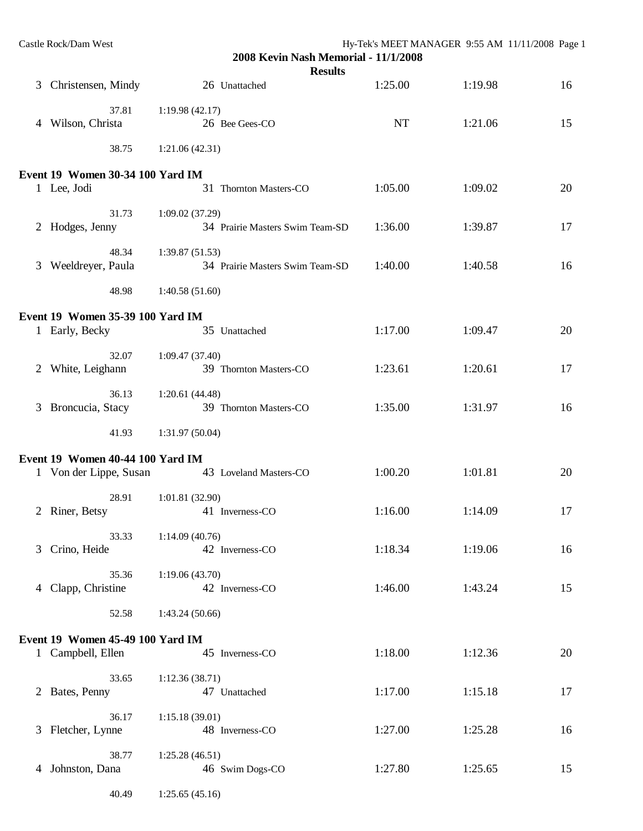|   | Castle Rock/Dam West                    |                 |                                                        | Hy-Tek's MEET MANAGER 9:55 AM 11/11/2008 Page 1 |         |    |
|---|-----------------------------------------|-----------------|--------------------------------------------------------|-------------------------------------------------|---------|----|
|   |                                         |                 | 2008 Kevin Nash Memorial - 11/1/2008<br><b>Results</b> |                                                 |         |    |
|   | 3 Christensen, Mindy                    |                 | 26 Unattached                                          | 1:25.00                                         | 1:19.98 | 16 |
|   | 37.81                                   | 1:19.98(42.17)  |                                                        |                                                 |         |    |
|   | 4 Wilson, Christa                       |                 | 26 Bee Gees-CO                                         | <b>NT</b>                                       | 1:21.06 | 15 |
|   | 38.75                                   | 1:21.06(42.31)  |                                                        |                                                 |         |    |
|   | <b>Event 19 Women 30-34 100 Yard IM</b> |                 |                                                        |                                                 |         |    |
|   | 1 Lee, Jodi                             |                 | 31 Thornton Masters-CO                                 | 1:05.00                                         | 1:09.02 | 20 |
|   | 31.73                                   | 1:09.02(37.29)  |                                                        |                                                 |         |    |
|   | 2 Hodges, Jenny                         |                 | 34 Prairie Masters Swim Team-SD                        | 1:36.00                                         | 1:39.87 | 17 |
|   | 48.34                                   | 1:39.87(51.53)  |                                                        |                                                 |         |    |
|   | 3 Weeldreyer, Paula                     |                 | 34 Prairie Masters Swim Team-SD                        | 1:40.00                                         | 1:40.58 | 16 |
|   | 48.98                                   | 1:40.58(51.60)  |                                                        |                                                 |         |    |
|   | Event 19 Women 35-39 100 Yard IM        |                 |                                                        |                                                 |         |    |
|   | 1 Early, Becky                          |                 | 35 Unattached                                          | 1:17.00                                         | 1:09.47 | 20 |
|   | 32.07                                   | 1:09.47(37.40)  |                                                        |                                                 |         |    |
| 2 | White, Leighann                         |                 | 39 Thornton Masters-CO                                 | 1:23.61                                         | 1:20.61 | 17 |
|   | 36.13                                   | 1:20.61(44.48)  |                                                        |                                                 |         |    |
| 3 | Broncucia, Stacy                        |                 | 39 Thornton Masters-CO                                 | 1:35.00                                         | 1:31.97 | 16 |
|   | 41.93                                   | 1:31.97(50.04)  |                                                        |                                                 |         |    |
|   | Event 19 Women 40-44 100 Yard IM        |                 |                                                        |                                                 |         |    |
|   | 1 Von der Lippe, Susan                  |                 | 43 Loveland Masters-CO                                 | 1:00.20                                         | 1:01.81 | 20 |
|   | 28.91                                   | 1:01.81 (32.90) |                                                        |                                                 |         |    |
|   | 2 Riner, Betsy                          |                 | 41 Inverness-CO                                        | 1:16.00                                         | 1:14.09 | 17 |
|   | 33.33                                   | 1:14.09(40.76)  |                                                        |                                                 |         |    |
|   | 3 Crino, Heide                          |                 | 42 Inverness-CO                                        | 1:18.34                                         | 1:19.06 | 16 |
|   | 35.36<br>4 Clapp, Christine             | 1:19.06(43.70)  | 42 Inverness-CO                                        | 1:46.00                                         | 1:43.24 | 15 |
|   |                                         |                 |                                                        |                                                 |         |    |
|   | 52.58                                   | 1:43.24(50.66)  |                                                        |                                                 |         |    |
|   | Event 19 Women 45-49 100 Yard IM        |                 |                                                        |                                                 |         |    |
|   | 1 Campbell, Ellen                       |                 | 45 Inverness-CO                                        | 1:18.00                                         | 1:12.36 | 20 |
|   | 33.65<br>2 Bates, Penny                 | 1:12.36(38.71)  | 47 Unattached                                          | 1:17.00                                         | 1:15.18 | 17 |
|   |                                         |                 |                                                        |                                                 |         |    |
|   | 36.17<br>3 Fletcher, Lynne              | 1:15.18(39.01)  | 48 Inverness-CO                                        | 1:27.00                                         | 1:25.28 | 16 |
|   |                                         |                 |                                                        |                                                 |         |    |
|   | 38.77<br>4 Johnston, Dana               | 1:25.28(46.51)  | 46 Swim Dogs-CO                                        | 1:27.80                                         | 1:25.65 | 15 |
|   |                                         |                 |                                                        |                                                 |         |    |
|   | 40.49                                   | 1:25.65(45.16)  |                                                        |                                                 |         |    |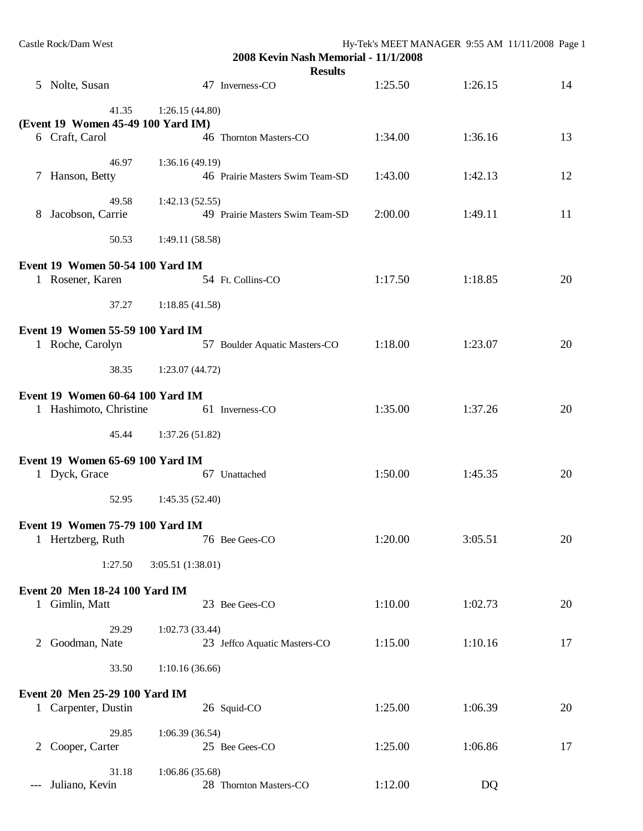|       | Castle Rock/Dam West                                         |                   | 2008 Kevin Nash Memorial - 11/1/2008<br><b>Results</b> | Hy-Tek's MEET MANAGER 9:55 AM 11/11/2008 Page 1 |         |    |
|-------|--------------------------------------------------------------|-------------------|--------------------------------------------------------|-------------------------------------------------|---------|----|
|       | 5 Nolte, Susan                                               |                   | 47 Inverness-CO                                        | 1:25.50                                         | 1:26.15 | 14 |
|       | 41.35                                                        | 1:26.15(44.80)    |                                                        |                                                 |         |    |
|       | (Event 19 Women 45-49 100 Yard IM)                           |                   |                                                        |                                                 |         |    |
|       | 6 Craft, Carol                                               |                   | 46 Thornton Masters-CO                                 | 1:34.00                                         | 1:36.16 | 13 |
|       | 46.97                                                        | 1:36.16(49.19)    |                                                        |                                                 |         |    |
| 7     | Hanson, Betty                                                |                   | 46 Prairie Masters Swim Team-SD                        | 1:43.00                                         | 1:42.13 | 12 |
|       | 49.58                                                        | 1:42.13(52.55)    |                                                        |                                                 |         |    |
| 8     | Jacobson, Carrie                                             |                   | 49 Prairie Masters Swim Team-SD                        | 2:00.00                                         | 1:49.11 | 11 |
|       | 50.53                                                        | 1:49.11(58.58)    |                                                        |                                                 |         |    |
|       | Event 19 Women 50-54 100 Yard IM                             |                   |                                                        |                                                 |         |    |
|       | 1 Rosener, Karen                                             |                   | 54 Ft. Collins-CO                                      | 1:17.50                                         | 1:18.85 | 20 |
|       | 37.27                                                        | 1:18.85(41.58)    |                                                        |                                                 |         |    |
|       | Event 19 Women 55-59 100 Yard IM                             |                   |                                                        |                                                 |         |    |
|       | 1 Roche, Carolyn                                             |                   | 57 Boulder Aquatic Masters-CO                          | 1:18.00                                         | 1:23.07 | 20 |
|       | 38.35                                                        | 1:23.07(44.72)    |                                                        |                                                 |         |    |
|       | Event 19 Women 60-64 100 Yard IM                             |                   |                                                        |                                                 |         |    |
|       | 1 Hashimoto, Christine                                       |                   | 61 Inverness-CO                                        | 1:35.00                                         | 1:37.26 | 20 |
|       | 45.44                                                        | 1:37.26(51.82)    |                                                        |                                                 |         |    |
|       | Event 19 Women 65-69 100 Yard IM                             |                   |                                                        |                                                 |         |    |
|       | 1 Dyck, Grace                                                |                   | 67 Unattached                                          | 1:50.00                                         | 1:45.35 | 20 |
|       | 52.95                                                        | 1:45.35(52.40)    |                                                        |                                                 |         |    |
|       |                                                              |                   |                                                        |                                                 |         |    |
|       | <b>Event 19 Women 75-79 100 Yard IM</b><br>1 Hertzberg, Ruth |                   | 76 Bee Gees-CO                                         | 1:20.00                                         | 3:05.51 | 20 |
|       |                                                              |                   |                                                        |                                                 |         |    |
|       | 1:27.50                                                      | 3:05.51 (1:38.01) |                                                        |                                                 |         |    |
|       | Event 20 Men 18-24 100 Yard IM                               |                   |                                                        |                                                 |         |    |
|       | 1 Gimlin, Matt                                               |                   | 23 Bee Gees-CO                                         | 1:10.00                                         | 1:02.73 | 20 |
|       | 29.29                                                        | 1:02.73(33.44)    |                                                        |                                                 |         |    |
| 2     | Goodman, Nate                                                |                   | 23 Jeffco Aquatic Masters-CO                           | 1:15.00                                         | 1:10.16 | 17 |
|       | 33.50                                                        | 1:10.16(36.66)    |                                                        |                                                 |         |    |
|       | Event 20 Men 25-29 100 Yard IM                               |                   |                                                        |                                                 |         |    |
|       | 1 Carpenter, Dustin                                          |                   | 26 Squid-CO                                            | 1:25.00                                         | 1:06.39 | 20 |
|       | 29.85                                                        | 1:06.39(36.54)    |                                                        |                                                 |         |    |
|       | 2 Cooper, Carter                                             |                   | 25 Bee Gees-CO                                         | 1:25.00                                         | 1:06.86 | 17 |
|       | 31.18                                                        | 1:06.86(35.68)    |                                                        |                                                 |         |    |
| $---$ | Juliano, Kevin                                               |                   | 28 Thornton Masters-CO                                 | 1:12.00                                         | DQ      |    |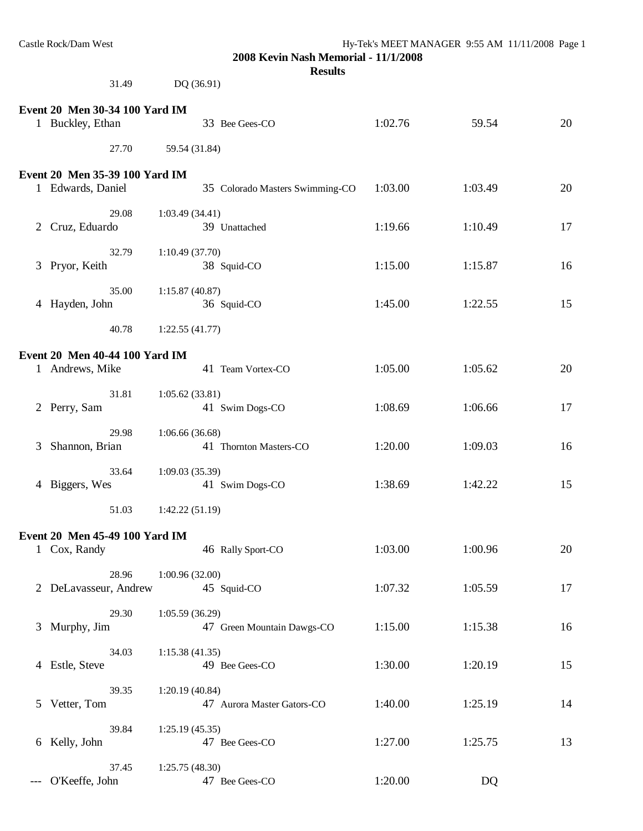|   | Castle Rock/Dam West<br>31.49                      | 2008 Kevin Nash Memorial - 11/1/2008<br><b>Results</b><br>DQ (36.91) | Hy-Tek's MEET MANAGER 9:55 AM 11/11/2008 Page 1 |         |    |
|---|----------------------------------------------------|----------------------------------------------------------------------|-------------------------------------------------|---------|----|
|   |                                                    |                                                                      |                                                 |         |    |
|   | Event 20 Men 30-34 100 Yard IM<br>1 Buckley, Ethan | 33 Bee Gees-CO                                                       | 1:02.76                                         | 59.54   | 20 |
|   | 27.70                                              | 59.54 (31.84)                                                        |                                                 |         |    |
|   | Event 20 Men 35-39 100 Yard IM                     |                                                                      |                                                 |         |    |
|   | 1 Edwards, Daniel                                  | 35 Colorado Masters Swimming-CO                                      | 1:03.00                                         | 1:03.49 | 20 |
| 2 | 29.08<br>Cruz, Eduardo                             | 1:03.49(34.41)<br>39 Unattached                                      | 1:19.66                                         | 1:10.49 | 17 |
|   | 32.79<br>3 Pryor, Keith                            | 1:10.49(37.70)<br>38 Squid-CO                                        | 1:15.00                                         | 1:15.87 | 16 |
|   | 35.00<br>4 Hayden, John                            | 1:15.87(40.87)<br>36 Squid-CO                                        | 1:45.00                                         | 1:22.55 | 15 |
|   | 40.78                                              | 1:22.55(41.77)                                                       |                                                 |         |    |
|   | Event 20 Men 40-44 100 Yard IM<br>1 Andrews, Mike  | 41 Team Vortex-CO                                                    | 1:05.00                                         | 1:05.62 | 20 |
|   | 31.81<br>2 Perry, Sam                              | 1:05.62(33.81)<br>41 Swim Dogs-CO                                    | 1:08.69                                         | 1:06.66 | 17 |
| 3 | 29.98<br>Shannon, Brian                            | 1:06.66(36.68)<br>41 Thornton Masters-CO                             | 1:20.00                                         | 1:09.03 | 16 |
|   | 33.64<br>4 Biggers, Wes                            | 1:09.03(35.39)<br>41 Swim Dogs-CO                                    | 1:38.69                                         | 1:42.22 | 15 |

**Event 20 Men 45-49 100 Yard IM** 1 Cox, Randy 46 Rally Sport-CO 1:03.00 1:00.96 20 28.96 1:00.96 (32.00)

51.03 1:42.22 (51.19)

|       | 28.96<br>2 DeLavasseur, Andrew | 1:00.96(32.00)<br>45 Squid-CO                   | 1:07.32 | 1:05.59 | 17 |
|-------|--------------------------------|-------------------------------------------------|---------|---------|----|
|       | 29.30<br>3 Murphy, Jim         | 1:05.59(36.29)<br>47<br>Green Mountain Dawgs-CO | 1:15.00 | 1:15.38 | 16 |
| 4     | 34.03<br>Estle, Steve          | 1:15.38(41.35)<br>49 Bee Gees-CO                | 1:30.00 | 1:20.19 | 15 |
| 5.    | 39.35<br>Vetter, Tom           | 1:20.19(40.84)<br>47<br>Aurora Master Gators-CO | 1:40.00 | 1:25.19 | 14 |
| 6     | 39.84<br>Kelly, John           | 1:25.19(45.35)<br>47 Bee Gees-CO                | 1:27.00 | 1:25.75 | 13 |
| $---$ | 37.45<br>O'Keeffe, John        | 1:25.75(48.30)<br>47<br>Bee Gees-CO             | 1:20.00 | DQ      |    |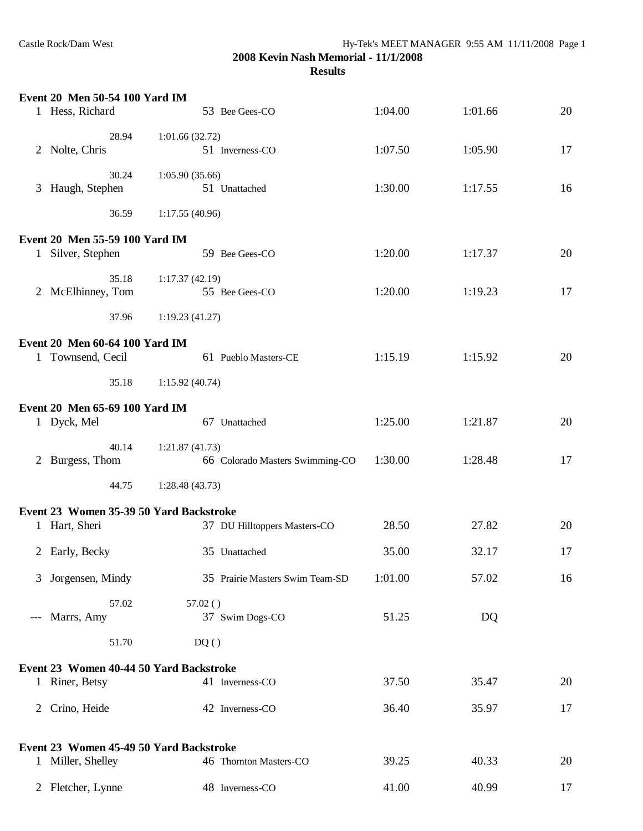|       | Event 20 Men 50-54 100 Yard IM          |                                 |         |         |    |
|-------|-----------------------------------------|---------------------------------|---------|---------|----|
|       | 1 Hess, Richard                         | 53 Bee Gees-CO                  | 1:04.00 | 1:01.66 | 20 |
|       | 28.94                                   | 1:01.66(32.72)                  |         |         |    |
|       | 2 Nolte, Chris                          | 51 Inverness-CO                 | 1:07.50 | 1:05.90 | 17 |
|       | 30.24                                   | 1:05.90(35.66)                  |         |         |    |
|       | 3 Haugh, Stephen                        | 51 Unattached                   | 1:30.00 | 1:17.55 | 16 |
|       | 36.59                                   | 1:17.55(40.96)                  |         |         |    |
|       | Event 20 Men 55-59 100 Yard IM          |                                 |         |         |    |
|       | 1 Silver, Stephen                       | 59 Bee Gees-CO                  | 1:20.00 | 1:17.37 | 20 |
|       | 35.18                                   | 1:17.37(42.19)                  |         |         |    |
|       | 2 McElhinney, Tom                       | 55 Bee Gees-CO                  | 1:20.00 | 1:19.23 | 17 |
|       | 37.96                                   | 1:19.23(41.27)                  |         |         |    |
|       | Event 20 Men 60-64 100 Yard IM          |                                 |         |         |    |
|       | 1 Townsend, Cecil                       | 61 Pueblo Masters-CE            | 1:15.19 | 1:15.92 | 20 |
|       | 35.18                                   | 1:15.92(40.74)                  |         |         |    |
|       | Event 20 Men 65-69 100 Yard IM          |                                 |         |         |    |
|       | 1 Dyck, Mel                             | 67 Unattached                   | 1:25.00 | 1:21.87 | 20 |
|       | 40.14                                   | 1:21.87(41.73)                  |         |         |    |
|       | 2 Burgess, Thom                         | 66 Colorado Masters Swimming-CO | 1:30.00 | 1:28.48 | 17 |
|       | 44.75                                   | 1:28.48(43.73)                  |         |         |    |
|       | Event 23 Women 35-39 50 Yard Backstroke |                                 |         |         |    |
|       | 1 Hart, Sheri                           | 37 DU Hilltoppers Masters-CO    | 28.50   | 27.82   | 20 |
|       | 2 Early, Becky                          | 35 Unattached                   | 35.00   | 32.17   | 17 |
| 3     | Jorgensen, Mindy                        | 35 Prairie Masters Swim Team-SD | 1:01.00 | 57.02   | 16 |
|       | 57.02                                   | 57.02()                         |         |         |    |
| $---$ | Marrs, Amy                              | 37 Swim Dogs-CO                 | 51.25   | DQ      |    |
|       | 51.70                                   | DQ()                            |         |         |    |
|       | Event 23 Women 40-44 50 Yard Backstroke |                                 |         |         |    |
|       | 1 Riner, Betsy                          | 41 Inverness-CO                 | 37.50   | 35.47   | 20 |
| 2     | Crino, Heide                            | 42 Inverness-CO                 | 36.40   | 35.97   | 17 |
|       | Event 23 Women 45-49 50 Yard Backstroke |                                 |         |         |    |
|       | 1 Miller, Shelley                       | 46 Thornton Masters-CO          | 39.25   | 40.33   | 20 |
|       | 2 Fletcher, Lynne                       | 48 Inverness-CO                 | 41.00   | 40.99   | 17 |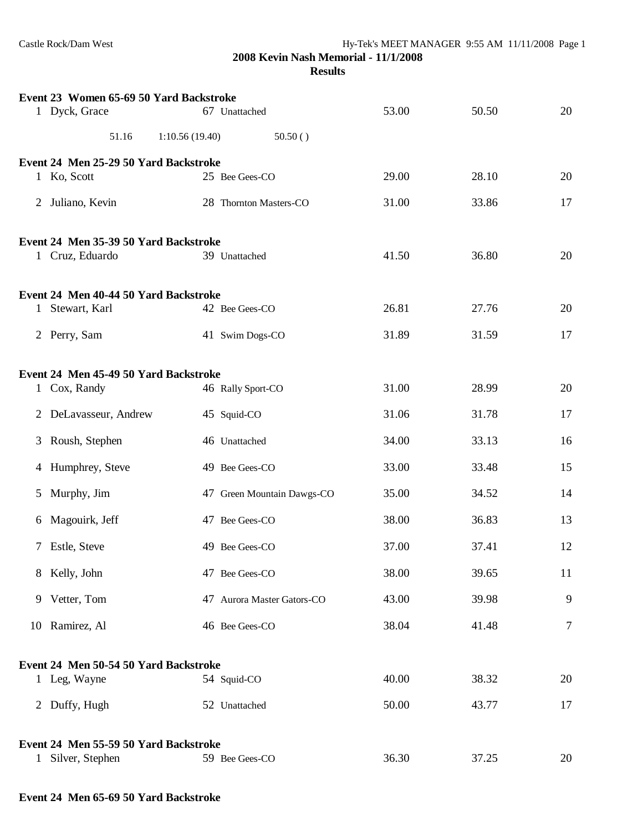|                | Event 23 Women 65-69 50 Yard Backstroke |                            |       |       |        |
|----------------|-----------------------------------------|----------------------------|-------|-------|--------|
|                | 1 Dyck, Grace                           | 67 Unattached              | 53.00 | 50.50 | 20     |
|                | 51.16<br>1:10.56(19.40)                 | 50.50()                    |       |       |        |
|                | Event 24 Men 25-29 50 Yard Backstroke   |                            |       |       |        |
|                | 1 Ko, Scott                             | 25 Bee Gees-CO             | 29.00 | 28.10 | 20     |
| $\overline{2}$ | Juliano, Kevin                          | 28 Thornton Masters-CO     | 31.00 | 33.86 | 17     |
|                | Event 24 Men 35-39 50 Yard Backstroke   |                            |       |       |        |
|                | 1 Cruz, Eduardo                         | 39 Unattached              | 41.50 | 36.80 | 20     |
|                | Event 24 Men 40-44 50 Yard Backstroke   |                            |       |       |        |
|                | 1 Stewart, Karl                         | 42 Bee Gees-CO             | 26.81 | 27.76 | 20     |
|                | 2 Perry, Sam                            | 41 Swim Dogs-CO            | 31.89 | 31.59 | 17     |
|                | Event 24 Men 45-49 50 Yard Backstroke   |                            |       |       |        |
|                | 1 Cox, Randy                            | 46 Rally Sport-CO          | 31.00 | 28.99 | 20     |
| 2              | DeLavasseur, Andrew                     | 45 Squid-CO                | 31.06 | 31.78 | 17     |
| 3              | Roush, Stephen                          | 46 Unattached              | 34.00 | 33.13 | 16     |
|                | 4 Humphrey, Steve                       | 49 Bee Gees-CO             | 33.00 | 33.48 | 15     |
| 5              | Murphy, Jim                             | 47 Green Mountain Dawgs-CO | 35.00 | 34.52 | 14     |
| 6              | Magouirk, Jeff                          | 47 Bee Gees-CO             | 38.00 | 36.83 | 13     |
|                | 7 Estle, Steve                          | 49 Bee Gees-CO             | 37.00 | 37.41 | 12     |
|                | 8 Kelly, John                           | 47 Bee Gees-CO             | 38.00 | 39.65 | 11     |
|                | 9 Vetter, Tom                           | 47 Aurora Master Gators-CO | 43.00 | 39.98 | 9      |
|                | 10 Ramirez, Al                          | 46 Bee Gees-CO             | 38.04 | 41.48 | $\tau$ |
|                | Event 24 Men 50-54 50 Yard Backstroke   |                            |       |       |        |
|                | 1 Leg, Wayne                            | 54 Squid-CO                | 40.00 | 38.32 | 20     |
|                | 2 Duffy, Hugh                           | 52 Unattached              | 50.00 | 43.77 | 17     |
|                | Event 24 Men 55-59 50 Yard Backstroke   |                            |       |       |        |
|                | 1 Silver, Stephen                       | 59 Bee Gees-CO             | 36.30 | 37.25 | 20     |

# **Event 24 Men 65-69 50 Yard Backstroke**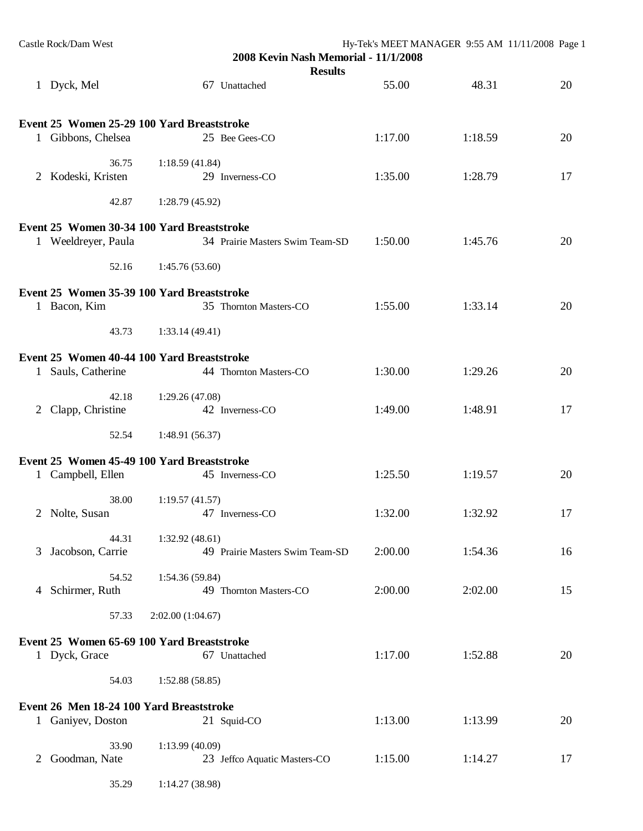| Castle Rock/Dam West                       | 2008 Kevin Nash Memorial - 11/1/2008<br><b>Results</b> |         | Hy-Tek's MEET MANAGER 9:55 AM 11/11/2008 Page 1 |    |
|--------------------------------------------|--------------------------------------------------------|---------|-------------------------------------------------|----|
| 1 Dyck, Mel                                | 67 Unattached                                          | 55.00   | 48.31                                           | 20 |
| Event 25 Women 25-29 100 Yard Breaststroke |                                                        |         |                                                 |    |
| 1 Gibbons, Chelsea                         | 25 Bee Gees-CO                                         | 1:17.00 | 1:18.59                                         | 20 |
| 36.75<br>2 Kodeski, Kristen                | 1:18.59(41.84)<br>29 Inverness-CO                      | 1:35.00 | 1:28.79                                         | 17 |
| 42.87                                      | 1:28.79(45.92)                                         |         |                                                 |    |
| Event 25 Women 30-34 100 Yard Breaststroke |                                                        |         |                                                 |    |
| 1 Weeldreyer, Paula                        | 34 Prairie Masters Swim Team-SD                        | 1:50.00 | 1:45.76                                         | 20 |
| 52.16                                      | 1:45.76(53.60)                                         |         |                                                 |    |
| Event 25 Women 35-39 100 Yard Breaststroke |                                                        |         |                                                 |    |
| 1 Bacon, Kim                               | 35 Thornton Masters-CO                                 | 1:55.00 | 1:33.14                                         | 20 |
| 43.73                                      | 1:33.14(49.41)                                         |         |                                                 |    |
| Event 25 Women 40-44 100 Yard Breaststroke |                                                        |         |                                                 |    |
| Sauls, Catherine<br>1                      | 44 Thornton Masters-CO                                 | 1:30.00 | 1:29.26                                         | 20 |
| 42.18                                      | 1:29.26(47.08)                                         |         |                                                 |    |
| Clapp, Christine<br>$2^{\circ}$            | 42 Inverness-CO                                        | 1:49.00 | 1:48.91                                         | 17 |
| 52.54                                      | 1:48.91 (56.37)                                        |         |                                                 |    |
| Event 25 Women 45-49 100 Yard Breaststroke |                                                        |         |                                                 |    |
| Campbell, Ellen<br>$\mathbf{1}$            | 45 Inverness-CO                                        | 1:25.50 | 1:19.57                                         | 20 |
| 38.00<br>2 Nolte, Susan                    | 1:19.57(41.57)<br>47 Inverness-CO                      | 1:32.00 | 1:32.92                                         | 17 |
|                                            |                                                        |         |                                                 |    |
| 44.31<br>Jacobson, Carrie<br>3             | 1:32.92(48.61)<br>49 Prairie Masters Swim Team-SD      | 2:00.00 | 1:54.36                                         | 16 |
| 54.52                                      | 1:54.36 (59.84)                                        |         |                                                 |    |
| Schirmer, Ruth<br>4                        | 49 Thornton Masters-CO                                 | 2:00.00 | 2:02.00                                         | 15 |
| 57.33                                      | 2:02.00(1:04.67)                                       |         |                                                 |    |
| Event 25 Women 65-69 100 Yard Breaststroke |                                                        |         |                                                 |    |
| 1 Dyck, Grace                              | 67 Unattached                                          | 1:17.00 | 1:52.88                                         | 20 |
| 54.03                                      | 1:52.88(58.85)                                         |         |                                                 |    |
| Event 26 Men 18-24 100 Yard Breaststroke   |                                                        |         |                                                 |    |
| 1 Ganiyev, Doston                          | 21 Squid-CO                                            | 1:13.00 | 1:13.99                                         | 20 |
| 33.90                                      | 1:13.99(40.09)                                         |         |                                                 |    |
| Goodman, Nate<br>2                         | 23 Jeffco Aquatic Masters-CO                           | 1:15.00 | 1:14.27                                         | 17 |
| 35.29                                      | 1:14.27 (38.98)                                        |         |                                                 |    |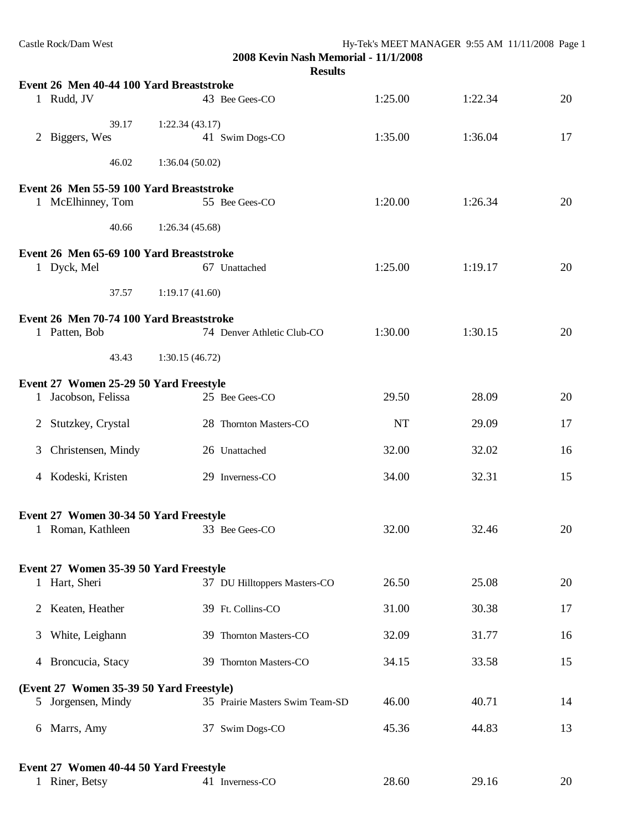| Castle Rock/Dam West                                     |                    |                | 2008 Kevin Nash Memorial - 11/1/2008<br><b>Results</b> | Hy-Tek's MEET MANAGER 9:55 AM 11/11/2008 Page 1 |         |    |
|----------------------------------------------------------|--------------------|----------------|--------------------------------------------------------|-------------------------------------------------|---------|----|
| Event 26 Men 40-44 100 Yard Breaststroke                 |                    |                |                                                        |                                                 |         |    |
| 1 Rudd, JV                                               |                    |                | 43 Bee Gees-CO                                         | 1:25.00                                         | 1:22.34 | 20 |
|                                                          | 39.17              | 1:22.34(43.17) |                                                        |                                                 |         |    |
| 2 Biggers, Wes                                           |                    |                | 41 Swim Dogs-CO                                        | 1:35.00                                         | 1:36.04 | 17 |
|                                                          | 46.02              | 1:36.04(50.02) |                                                        |                                                 |         |    |
| Event 26 Men 55-59 100 Yard Breaststroke                 |                    |                |                                                        |                                                 |         |    |
| 1 McElhinney, Tom                                        |                    |                | 55 Bee Gees-CO                                         | 1:20.00                                         | 1:26.34 | 20 |
|                                                          | 40.66              | 1:26.34(45.68) |                                                        |                                                 |         |    |
| Event 26 Men 65-69 100 Yard Breaststroke                 |                    |                |                                                        |                                                 |         |    |
| 1 Dyck, Mel                                              |                    |                | 67 Unattached                                          | 1:25.00                                         | 1:19.17 | 20 |
|                                                          | 37.57              | 1:19.17(41.60) |                                                        |                                                 |         |    |
| Event 26 Men 70-74 100 Yard Breaststroke                 |                    |                |                                                        |                                                 |         |    |
| 1 Patten, Bob                                            |                    |                | 74 Denver Athletic Club-CO                             | 1:30.00                                         | 1:30.15 | 20 |
|                                                          | 43.43              | 1:30.15(46.72) |                                                        |                                                 |         |    |
| Event 27 Women 25-29 50 Yard Freestyle                   |                    |                |                                                        |                                                 |         |    |
| 1 Jacobson, Felissa                                      |                    |                | 25 Bee Gees-CO                                         | 29.50                                           | 28.09   | 20 |
| 2 Stutzkey, Crystal                                      |                    |                | 28 Thornton Masters-CO                                 | <b>NT</b>                                       | 29.09   | 17 |
| 3                                                        | Christensen, Mindy |                | 26 Unattached                                          | 32.00                                           | 32.02   | 16 |
| 4 Kodeski, Kristen                                       |                    |                | 29 Inverness-CO                                        | 34.00                                           | 32.31   | 15 |
| Event 27 Women 30-34 50 Yard Freestyle                   |                    |                |                                                        |                                                 |         |    |
| 1 Roman, Kathleen                                        |                    |                | 33 Bee Gees-CO                                         | 32.00                                           | 32.46   | 20 |
| Event 27 Women 35-39 50 Yard Freestyle                   |                    |                |                                                        |                                                 |         |    |
| 1 Hart, Sheri                                            |                    |                | 37 DU Hilltoppers Masters-CO                           | 26.50                                           | 25.08   | 20 |
| 2 Keaten, Heather                                        |                    |                | 39 Ft. Collins-CO                                      | 31.00                                           | 30.38   | 17 |
| White, Leighann<br>3                                     |                    |                | 39 Thornton Masters-CO                                 | 32.09                                           | 31.77   | 16 |
| Broncucia, Stacy<br>4                                    |                    |                | 39 Thornton Masters-CO                                 | 34.15                                           | 33.58   | 15 |
| (Event 27 Women 35-39 50 Yard Freestyle)                 |                    |                |                                                        |                                                 |         |    |
| 5 Jorgensen, Mindy                                       |                    |                | 35 Prairie Masters Swim Team-SD                        | 46.00                                           | 40.71   | 14 |
| Marrs, Amy<br>6                                          |                    |                | 37 Swim Dogs-CO                                        | 45.36                                           | 44.83   | 13 |
|                                                          |                    |                |                                                        |                                                 |         |    |
| Event 27 Women 40-44 50 Yard Freestyle<br>1 Riner, Betsy |                    |                | 41 Inverness-CO                                        | 28.60                                           | 29.16   | 20 |
|                                                          |                    |                |                                                        |                                                 |         |    |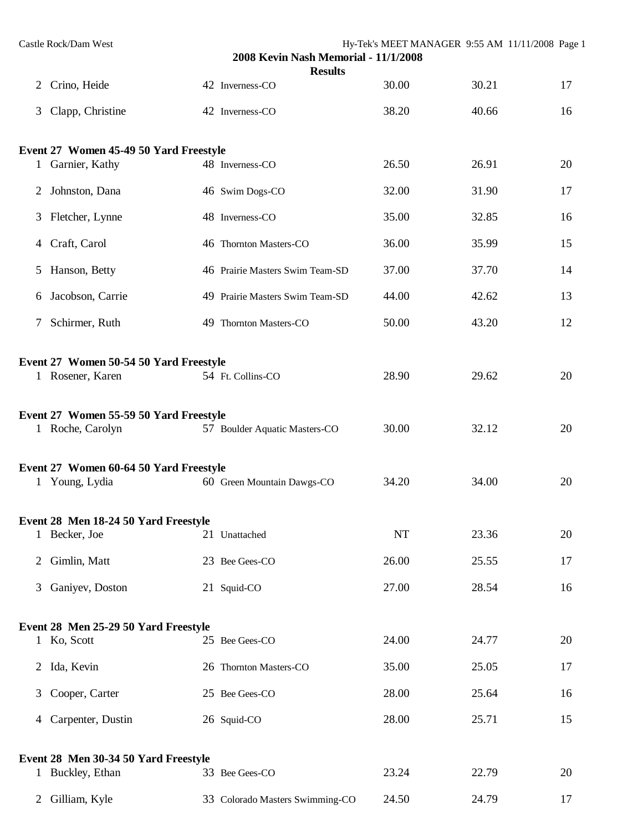|   | Castle Rock/Dam West                                       | 2008 Kevin Nash Memorial - 11/1/2008 | Hy-Tek's MEET MANAGER 9:55 AM 11/11/2008 Page 1 |       |    |
|---|------------------------------------------------------------|--------------------------------------|-------------------------------------------------|-------|----|
| 2 | Crino, Heide                                               | <b>Results</b><br>42 Inverness-CO    | 30.00                                           | 30.21 | 17 |
| 3 | Clapp, Christine                                           | 42 Inverness-CO                      | 38.20                                           | 40.66 | 16 |
|   | Event 27 Women 45-49 50 Yard Freestyle                     |                                      |                                                 |       |    |
|   | 1 Garnier, Kathy                                           | 48 Inverness-CO                      | 26.50                                           | 26.91 | 20 |
| 2 | Johnston, Dana                                             | 46 Swim Dogs-CO                      | 32.00                                           | 31.90 | 17 |
|   | 3 Fletcher, Lynne                                          | 48 Inverness-CO                      | 35.00                                           | 32.85 | 16 |
|   | 4 Craft, Carol                                             | 46 Thornton Masters-CO               | 36.00                                           | 35.99 | 15 |
| 5 | Hanson, Betty                                              | 46 Prairie Masters Swim Team-SD      | 37.00                                           | 37.70 | 14 |
| 6 | Jacobson, Carrie                                           | 49 Prairie Masters Swim Team-SD      | 44.00                                           | 42.62 | 13 |
|   | 7 Schirmer, Ruth                                           | 49 Thornton Masters-CO               | 50.00                                           | 43.20 | 12 |
|   | Event 27 Women 50-54 50 Yard Freestyle<br>1 Rosener, Karen | 54 Ft. Collins-CO                    | 28.90                                           | 29.62 | 20 |
|   | Event 27 Women 55-59 50 Yard Freestyle<br>1 Roche, Carolyn | 57 Boulder Aquatic Masters-CO        | 30.00                                           | 32.12 | 20 |
|   | Event 27 Women 60-64 50 Yard Freestyle<br>1 Young, Lydia   | 60 Green Mountain Dawgs-CO           | 34.20                                           | 34.00 | 20 |
|   | Event 28 Men 18-24 50 Yard Freestyle                       |                                      |                                                 |       |    |
|   | 1 Becker, Joe                                              | 21 Unattached                        | NT                                              | 23.36 | 20 |
| 2 | Gimlin, Matt                                               | 23 Bee Gees-CO                       | 26.00                                           | 25.55 | 17 |
| 3 | Ganiyev, Doston                                            | 21 Squid-CO                          | 27.00                                           | 28.54 | 16 |
|   | Event 28 Men 25-29 50 Yard Freestyle                       |                                      |                                                 |       |    |
|   | 1 Ko, Scott                                                | 25 Bee Gees-CO                       | 24.00                                           | 24.77 | 20 |
| 2 | Ida, Kevin                                                 | 26 Thornton Masters-CO               | 35.00                                           | 25.05 | 17 |
| 3 | Cooper, Carter                                             | 25 Bee Gees-CO                       | 28.00                                           | 25.64 | 16 |
| 4 | Carpenter, Dustin                                          | 26 Squid-CO                          | 28.00                                           | 25.71 | 15 |
|   | Event 28 Men 30-34 50 Yard Freestyle                       |                                      |                                                 |       |    |
|   | 1 Buckley, Ethan                                           | 33 Bee Gees-CO                       | 23.24                                           | 22.79 | 20 |
| 2 | Gilliam, Kyle                                              | 33 Colorado Masters Swimming-CO      | 24.50                                           | 24.79 | 17 |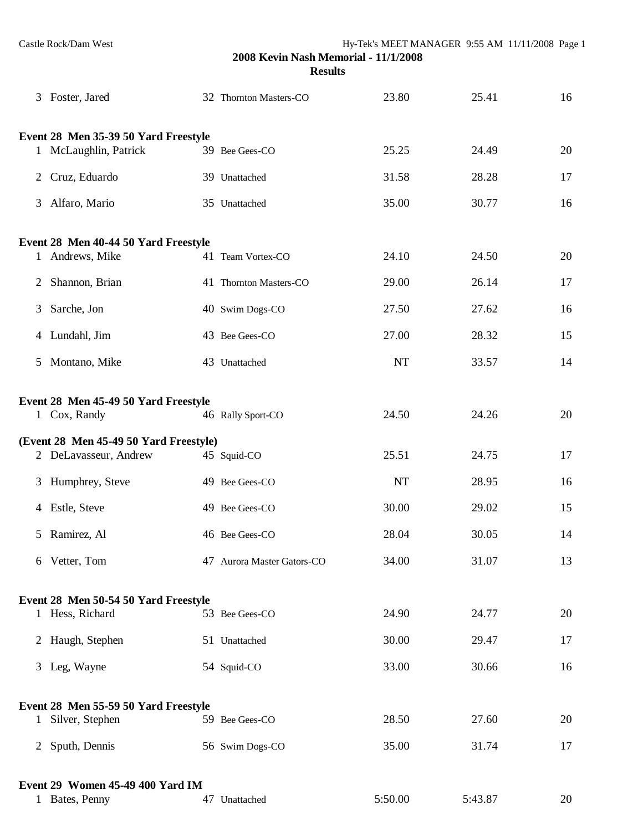| 3 | Foster, Jared                                                   | 32 Thornton Masters-CO     | 23.80     | 25.41   | 16 |
|---|-----------------------------------------------------------------|----------------------------|-----------|---------|----|
|   | Event 28 Men 35-39 50 Yard Freestyle                            |                            |           |         |    |
|   | 1 McLaughlin, Patrick                                           | 39 Bee Gees-CO             | 25.25     | 24.49   | 20 |
| 2 | Cruz, Eduardo                                                   | 39 Unattached              | 31.58     | 28.28   | 17 |
| 3 | Alfaro, Mario                                                   | 35 Unattached              | 35.00     | 30.77   | 16 |
|   | Event 28 Men 40-44 50 Yard Freestyle                            |                            |           |         |    |
|   | Andrews, Mike                                                   | 41 Team Vortex-CO          | 24.10     | 24.50   | 20 |
| 2 | Shannon, Brian                                                  | 41 Thornton Masters-CO     | 29.00     | 26.14   | 17 |
| 3 | Sarche, Jon                                                     | 40 Swim Dogs-CO            | 27.50     | 27.62   | 16 |
|   | 4 Lundahl, Jim                                                  | 43 Bee Gees-CO             | 27.00     | 28.32   | 15 |
|   | 5 Montano, Mike                                                 | 43 Unattached              | NT        | 33.57   | 14 |
|   | Event 28 Men 45-49 50 Yard Freestyle                            |                            |           |         |    |
|   | 1 Cox, Randy                                                    | 46 Rally Sport-CO          | 24.50     | 24.26   | 20 |
|   | (Event 28 Men 45-49 50 Yard Freestyle)<br>2 DeLavasseur, Andrew | 45 Squid-CO                | 25.51     | 24.75   | 17 |
|   |                                                                 |                            |           |         |    |
|   | 3 Humphrey, Steve                                               | 49 Bee Gees-CO             | $\rm{NT}$ | 28.95   | 16 |
|   | 4 Estle, Steve                                                  | 49 Bee Gees-CO             | 30.00     | 29.02   | 15 |
| 5 | Ramirez, Al                                                     | 46 Bee Gees-CO             | 28.04     | 30.05   | 14 |
|   | 6 Vetter, Tom                                                   | 47 Aurora Master Gators-CO | 34.00     | 31.07   | 13 |
|   | Event 28 Men 50-54 50 Yard Freestyle                            |                            |           |         |    |
|   | 1 Hess, Richard                                                 | 53 Bee Gees-CO             | 24.90     | 24.77   | 20 |
|   | 2 Haugh, Stephen                                                | 51 Unattached              | 30.00     | 29.47   | 17 |
|   | 3 Leg, Wayne                                                    | 54 Squid-CO                | 33.00     | 30.66   | 16 |
|   | Event 28 Men 55-59 50 Yard Freestyle                            |                            |           |         |    |
|   | 1 Silver, Stephen                                               | 59 Bee Gees-CO             | 28.50     | 27.60   | 20 |
|   | 2 Sputh, Dennis                                                 | 56 Swim Dogs-CO            | 35.00     | 31.74   | 17 |
|   | Event 29 Women 45-49 400 Yard IM<br>1 Bates, Penny              | 47 Unattached              | 5:50.00   | 5:43.87 | 20 |
|   |                                                                 |                            |           |         |    |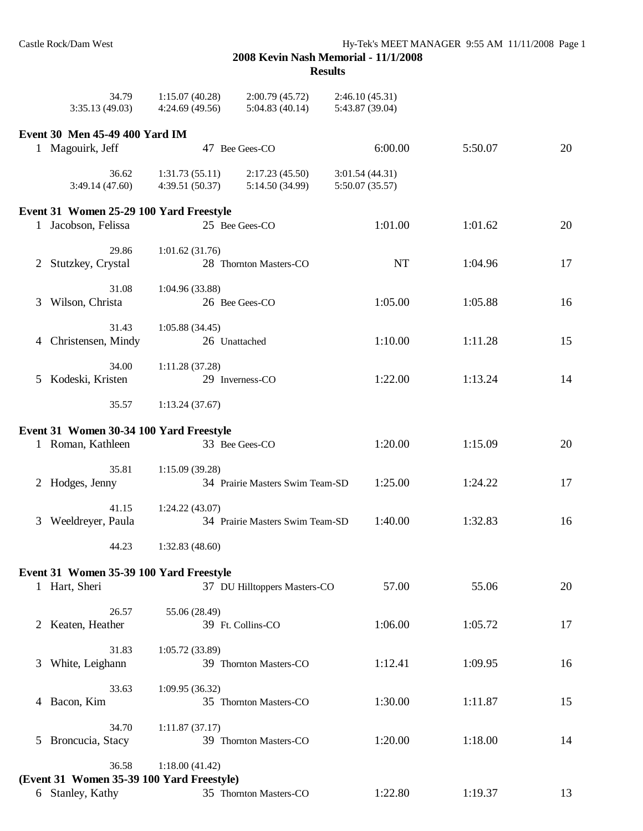|   | 34.79<br>3:35.13(49.03)                                       | 1:15.07(40.28)<br>4:24.69(49.56) | 2:00.79(45.72)<br>5:04.83(40.14)  | 2:46.10(45.31)<br>5:43.87 (39.04)  |         |    |
|---|---------------------------------------------------------------|----------------------------------|-----------------------------------|------------------------------------|---------|----|
|   |                                                               |                                  |                                   |                                    |         |    |
|   | Event 30 Men 45-49 400 Yard IM<br>1 Magouirk, Jeff            |                                  | 47 Bee Gees-CO                    | 6:00.00                            | 5:50.07 | 20 |
|   | 36.62                                                         |                                  |                                   |                                    |         |    |
|   | 3:49.14(47.60)                                                | 1:31.73(55.11)<br>4:39.51(50.37) | 2:17.23(45.50)<br>5:14.50 (34.99) | 3:01.54 (44.31)<br>5:50.07 (35.57) |         |    |
|   | Event 31 Women 25-29 100 Yard Freestyle                       |                                  |                                   |                                    |         |    |
|   | 1 Jacobson, Felissa                                           |                                  | 25 Bee Gees-CO                    | 1:01.00                            | 1:01.62 | 20 |
|   | 29.86                                                         | 1:01.62(31.76)                   |                                   |                                    |         |    |
|   | 2 Stutzkey, Crystal                                           |                                  | 28 Thornton Masters-CO            | NT                                 | 1:04.96 | 17 |
|   | 31.08                                                         | 1:04.96(33.88)                   |                                   |                                    |         |    |
|   | 3 Wilson, Christa                                             |                                  | 26 Bee Gees-CO                    | 1:05.00                            | 1:05.88 | 16 |
|   | 31.43                                                         | 1:05.88(34.45)                   |                                   |                                    |         |    |
|   | 4 Christensen, Mindy                                          | 26 Unattached                    |                                   | 1:10.00                            | 1:11.28 | 15 |
|   | 34.00                                                         | 1:11.28(37.28)                   |                                   |                                    |         |    |
|   | 5 Kodeski, Kristen                                            |                                  | 29 Inverness-CO                   | 1:22.00                            | 1:13.24 | 14 |
|   | 35.57                                                         | 1:13.24(37.67)                   |                                   |                                    |         |    |
|   | Event 31 Women 30-34 100 Yard Freestyle                       |                                  |                                   |                                    |         |    |
|   | 1 Roman, Kathleen                                             |                                  | 33 Bee Gees-CO                    | 1:20.00                            | 1:15.09 | 20 |
|   | 35.81                                                         | 1:15.09(39.28)                   |                                   |                                    |         |    |
|   | 2 Hodges, Jenny                                               |                                  | 34 Prairie Masters Swim Team-SD   | 1:25.00                            | 1:24.22 | 17 |
|   | 41.15                                                         | 1:24.22(43.07)                   |                                   |                                    |         |    |
| 3 | Weeldreyer, Paula                                             |                                  | 34 Prairie Masters Swim Team-SD   | 1:40.00                            | 1:32.83 | 16 |
|   | 44.23                                                         | 1:32.83(48.60)                   |                                   |                                    |         |    |
|   | Event 31 Women 35-39 100 Yard Freestyle                       |                                  |                                   |                                    |         |    |
|   | 1 Hart, Sheri                                                 |                                  | 37 DU Hilltoppers Masters-CO      | 57.00                              | 55.06   | 20 |
|   | 26.57                                                         | 55.06 (28.49)                    |                                   |                                    |         |    |
|   | 2 Keaten, Heather                                             |                                  | 39 Ft. Collins-CO                 | 1:06.00                            | 1:05.72 | 17 |
|   | 31.83                                                         | 1:05.72(33.89)                   |                                   |                                    |         |    |
| 3 | White, Leighann                                               |                                  | 39 Thornton Masters-CO            | 1:12.41                            | 1:09.95 | 16 |
|   | 33.63                                                         | 1:09.95(36.32)                   |                                   |                                    |         |    |
|   | 4 Bacon, Kim                                                  |                                  | 35 Thornton Masters-CO            | 1:30.00                            | 1:11.87 | 15 |
|   | 34.70                                                         | 1:11.87(37.17)                   |                                   |                                    |         |    |
|   | 5 Broncucia, Stacy                                            |                                  | 39 Thornton Masters-CO            | 1:20.00                            | 1:18.00 | 14 |
|   | 36.58                                                         | 1:18.00(41.42)                   |                                   |                                    |         |    |
|   | (Event 31 Women 35-39 100 Yard Freestyle)<br>6 Stanley, Kathy |                                  | 35 Thornton Masters-CO            | 1:22.80                            | 1:19.37 | 13 |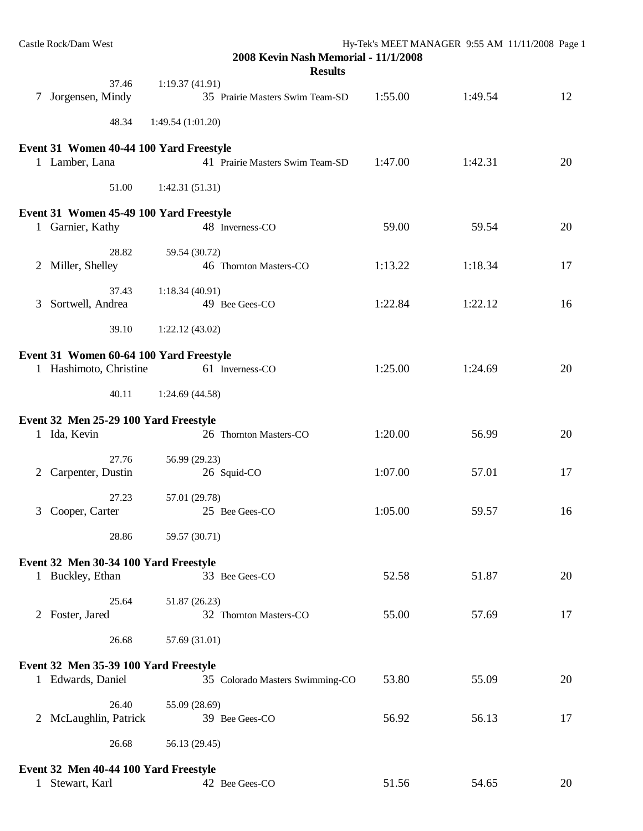|   | Castle Rock/Dam West                                              | 2008 Kevin Nash Memorial - 11/1/2008<br><b>Results</b> | Hy-Tek's MEET MANAGER 9:55 AM 11/11/2008 Page 1 |         |    |
|---|-------------------------------------------------------------------|--------------------------------------------------------|-------------------------------------------------|---------|----|
|   | 37.46<br>7 Jorgensen, Mindy                                       | 1:19.37(41.91)<br>35 Prairie Masters Swim Team-SD      | 1:55.00                                         | 1:49.54 | 12 |
|   | 48.34                                                             | 1:49.54(1:01.20)                                       |                                                 |         |    |
|   | Event 31 Women 40-44 100 Yard Freestyle<br>1 Lamber, Lana         | 41 Prairie Masters Swim Team-SD                        | 1:47.00                                         | 1:42.31 | 20 |
|   | 51.00                                                             | 1:42.31(51.31)                                         |                                                 |         |    |
|   | Event 31 Women 45-49 100 Yard Freestyle<br>1 Garnier, Kathy       | 48 Inverness-CO                                        | 59.00                                           | 59.54   | 20 |
|   | 28.82<br>2 Miller, Shelley                                        | 59.54 (30.72)<br>46 Thornton Masters-CO                | 1:13.22                                         | 1:18.34 | 17 |
|   | 37.43<br>3 Sortwell, Andrea                                       | 1:18.34(40.91)<br>49 Bee Gees-CO                       | 1:22.84                                         | 1:22.12 | 16 |
|   | 39.10                                                             | 1:22.12(43.02)                                         |                                                 |         |    |
|   | Event 31 Women 60-64 100 Yard Freestyle<br>1 Hashimoto, Christine | 61 Inverness-CO                                        | 1:25.00                                         | 1:24.69 | 20 |
|   | 40.11                                                             | 1:24.69(44.58)                                         |                                                 |         |    |
|   | Event 32 Men 25-29 100 Yard Freestyle<br>1 Ida, Kevin             | 26 Thornton Masters-CO                                 | 1:20.00                                         | 56.99   | 20 |
|   | 27.76<br>Carpenter, Dustin                                        | 56.99 (29.23)<br>26 Squid-CO                           | 1:07.00                                         | 57.01   | 17 |
| 3 | 27.23<br>Cooper, Carter                                           | 57.01 (29.78)<br>25 Bee Gees-CO                        | 1:05.00                                         | 59.57   | 16 |
|   | 28.86                                                             | 59.57 (30.71)                                          |                                                 |         |    |
|   | Event 32 Men 30-34 100 Yard Freestyle<br>1 Buckley, Ethan         | 33 Bee Gees-CO                                         | 52.58                                           | 51.87   | 20 |
|   | 25.64<br>2 Foster, Jared                                          | 51.87 (26.23)<br>32 Thornton Masters-CO                | 55.00                                           | 57.69   | 17 |
|   | 26.68                                                             | 57.69 (31.01)                                          |                                                 |         |    |
|   | Event 32 Men 35-39 100 Yard Freestyle<br>1 Edwards, Daniel        | 35 Colorado Masters Swimming-CO                        | 53.80                                           | 55.09   | 20 |
|   | 26.40<br>2 McLaughlin, Patrick                                    | 55.09 (28.69)<br>39 Bee Gees-CO                        | 56.92                                           | 56.13   | 17 |
|   | 26.68                                                             | 56.13 (29.45)                                          |                                                 |         |    |
|   | Event 32 Men 40-44 100 Yard Freestyle<br>Stewart, Karl            | 42 Bee Gees-CO                                         | 51.56                                           | 54.65   | 20 |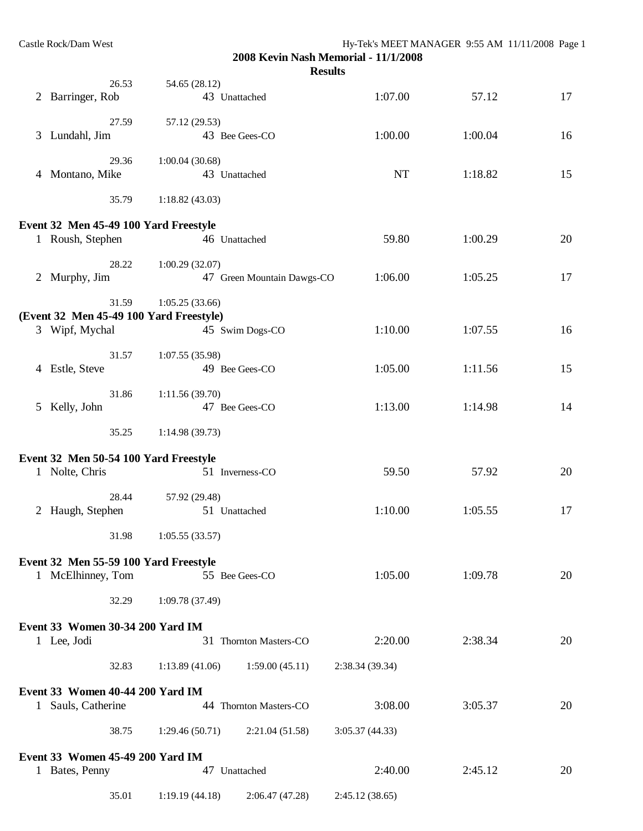|              | Castle Rock/Dam West                    |                 |                            | Hy-Tek's MEET MANAGER 9:55 AM 11/11/2008 Page 1<br>2008 Kevin Nash Memorial - 11/1/2008<br><b>Results</b> |         |    |
|--------------|-----------------------------------------|-----------------|----------------------------|-----------------------------------------------------------------------------------------------------------|---------|----|
|              | 26.53                                   | 54.65 (28.12)   |                            |                                                                                                           |         |    |
|              | 2 Barringer, Rob                        |                 | 43 Unattached              | 1:07.00                                                                                                   | 57.12   | 17 |
|              | 27.59                                   | 57.12 (29.53)   |                            |                                                                                                           |         |    |
| 3            | Lundahl, Jim                            |                 | 43 Bee Gees-CO             | 1:00.00                                                                                                   | 1:00.04 | 16 |
|              | 29.36                                   | 1:00.04(30.68)  |                            |                                                                                                           |         |    |
|              | 4 Montano, Mike                         |                 | 43 Unattached              | <b>NT</b>                                                                                                 | 1:18.82 | 15 |
|              | 35.79                                   | 1:18.82(43.03)  |                            |                                                                                                           |         |    |
|              | Event 32 Men 45-49 100 Yard Freestyle   |                 |                            |                                                                                                           |         |    |
|              | 1 Roush, Stephen                        |                 | 46 Unattached              | 59.80                                                                                                     | 1:00.29 | 20 |
|              | 28.22                                   | 1:00.29(32.07)  |                            |                                                                                                           |         |    |
|              | 2 Murphy, Jim                           |                 | 47 Green Mountain Dawgs-CO | 1:06.00                                                                                                   | 1:05.25 | 17 |
|              | 31.59                                   | 1:05.25(33.66)  |                            |                                                                                                           |         |    |
|              | (Event 32 Men 45-49 100 Yard Freestyle) |                 |                            |                                                                                                           |         |    |
|              | 3 Wipf, Mychal                          |                 | 45 Swim Dogs-CO            | 1:10.00                                                                                                   | 1:07.55 | 16 |
|              | 31.57                                   | 1:07.55(35.98)  |                            |                                                                                                           |         |    |
|              | 4 Estle, Steve                          |                 | 49 Bee Gees-CO             | 1:05.00                                                                                                   | 1:11.56 | 15 |
|              | 31.86                                   | 1:11.56(39.70)  |                            |                                                                                                           |         |    |
|              | 5 Kelly, John                           |                 | 47 Bee Gees-CO             | 1:13.00                                                                                                   | 1:14.98 | 14 |
|              | 35.25                                   | 1:14.98(39.73)  |                            |                                                                                                           |         |    |
|              | Event 32 Men 50-54 100 Yard Freestyle   |                 |                            |                                                                                                           |         |    |
|              | 1 Nolte, Chris                          |                 | 51 Inverness-CO            | 59.50                                                                                                     | 57.92   | 20 |
|              | 28.44                                   | 57.92 (29.48)   |                            |                                                                                                           |         |    |
|              | 2 Haugh, Stephen                        |                 | 51 Unattached              | 1:10.00                                                                                                   | 1:05.55 | 17 |
|              | 31.98                                   | 1:05.55(33.57)  |                            |                                                                                                           |         |    |
|              | Event 32 Men 55-59 100 Yard Freestyle   |                 |                            |                                                                                                           |         |    |
|              | 1 McElhinney, Tom                       |                 | 55 Bee Gees-CO             | 1:05.00                                                                                                   | 1:09.78 | 20 |
|              | 32.29                                   | 1:09.78 (37.49) |                            |                                                                                                           |         |    |
|              | Event 33 Women 30-34 200 Yard IM        |                 |                            |                                                                                                           |         |    |
|              | 1 Lee, Jodi                             |                 | 31 Thornton Masters-CO     | 2:20.00                                                                                                   | 2:38.34 | 20 |
|              | 32.83                                   | 1:13.89(41.06)  | 1:59.00(45.11)             | 2:38.34 (39.34)                                                                                           |         |    |
|              | Event 33 Women 40-44 200 Yard IM        |                 |                            |                                                                                                           |         |    |
| $\mathbf{1}$ | Sauls, Catherine                        |                 | 44 Thornton Masters-CO     | 3:08.00                                                                                                   | 3:05.37 | 20 |
|              | 38.75                                   | 1:29.46(50.71)  | 2:21.04(51.58)             | 3:05.37(44.33)                                                                                            |         |    |
|              | Event 33 Women 45-49 200 Yard IM        |                 |                            |                                                                                                           |         |    |
|              | 1 Bates, Penny                          |                 | 47 Unattached              | 2:40.00                                                                                                   | 2:45.12 | 20 |
|              | 35.01                                   | 1:19.19(44.18)  | 2:06.47 (47.28)            | 2:45.12 (38.65)                                                                                           |         |    |